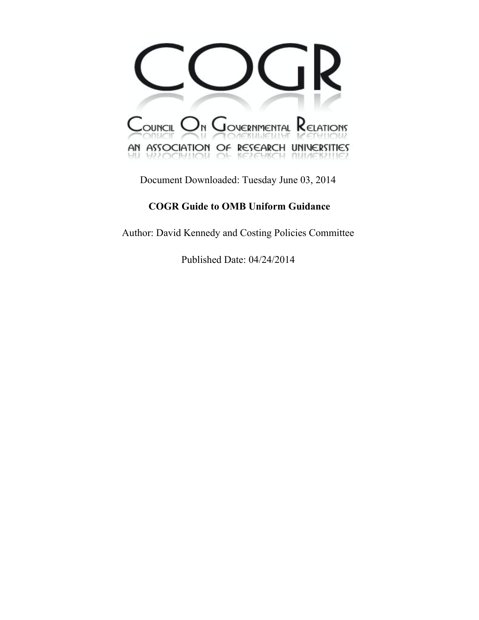

Document Downloaded: Tuesday June 03, 2014

# **COGR Guide to OMB Uniform Guidance**

Author: David Kennedy and Costing Policies Committee

Published Date: 04/24/2014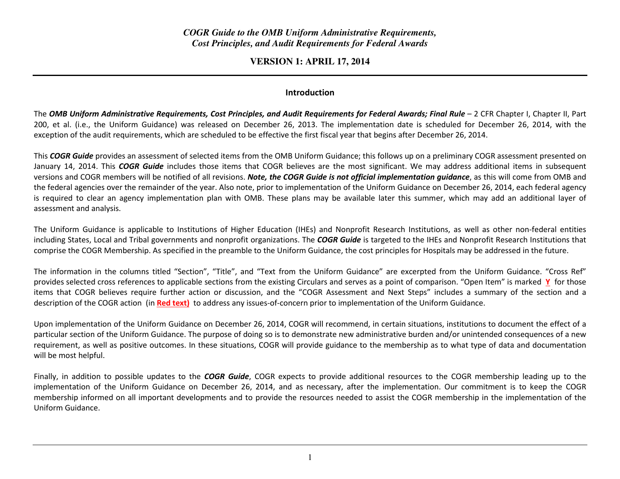### *COGR Guide to the OMB Uniform Administrative Requirements, Cost Principles, and Audit Requirements for Federal Awards*

**VERSION 1: APRIL 17, 2014** 

#### Introduction

The OMB Uniform Administrative Requirements, Cost Principles, and Audit Requirements for Federal Awards; Final Rule  $-$  2 CFR Chapter I, Chapter II, Part 200, et al. (i.e., the Uniform Guidance) was released on December 26, 2013. The implementation date is scheduled for December 26, 2014, with the exception of the audit requirements, which are scheduled to be effective the first fiscal year that begins after December 26, 2014.

This COGR Guide provides an assessment of selected items from the OMB Uniform Guidance; this follows up on a preliminary COGR assessment presented on January 14, 2014. This COGR Guide includes those items that COGR believes are the most significant. We may address additional items in subsequent versions and COGR members will be notified of all revisions. Note, the COGR Guide is not official implementation quidance, as this will come from OMB and the federal agencies over the remainder of the year. Also note, prior to implementation of the Uniform Guidance on December 26, 2014, each federal agency is required to clear an agency implementation plan with OMB. These plans may be available later this summer, which may add an additional layer of assessment and analysis.

The Uniform Guidance is applicable to Institutions of Higher Education (IHEs) and Nonprofit Research Institutions, as well as other non-federal entities including States, Local and Tribal governments and nonprofit organizations. The COGR Guide is targeted to the IHEs and Nonprofit Research Institutions that comprise the COGR Membership. As specified in the preamble to the Uniform Guidance, the cost principles for Hospitals may be addressed in the future.

The information in the columns titled "Section", "Title", and "Text from the Uniform Guidance" are excerpted from the Uniform Guidance. "Cross Ref" provides selected cross references to applicable sections from the existing Circulars and serves as a point of comparison. "Open Item" is marked Y for those items that COGR believes require further action or discussion, and the "COGR Assessment and Next Steps" includes a summary of the section and a description of the COGR action (in <mark>Red text)</mark> to address any issues-of-concern prior to implementation of the Uniform Guidance.

Upon implementation of the Uniform Guidance on December 26, 2014, COGR will recommend, in certain situations, institutions to document the effect of a particular section of the Uniform Guidance. The purpose of doing so is to demonstrate new administrative burden and/or unintended consequences of a new requirement, as well as positive outcomes. In these situations, COGR will provide guidance to the membership as to what type of data and documentation will be most helpful.

Finally, in addition to possible updates to the COGR Guide, COGR expects to provide additional resources to the COGR membership leading up to the implementation of the Uniform Guidance on December 26, 2014, and as necessary, after the implementation. Our commitment is to keep the COGR membership informed on all important developments and to provide the resources needed to assist the COGR membership in the implementation of the Uniform Guidance.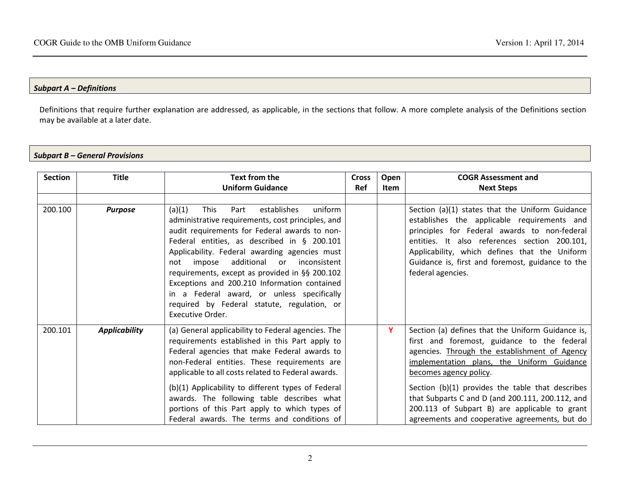#### Subpart A – Definitions

Definitions that require further explanation are addressed, as applicable, in the sections that follow. A more complete analysis of the Definitions section may be available at a later date.

#### Subpart B – General Provisions

| <b>Section</b> | <b>Title</b>         | Text from the<br><b>Uniform Guidance</b>                                                                                                                                                                                                                                                                                                                                                                                                                                                                                     | <b>Cross</b><br><b>Ref</b> | Open<br><b>Item</b> | <b>COGR Assessment and</b><br><b>Next Steps</b>                                                                                                                                                                                                                                                                                                                                                                                     |
|----------------|----------------------|------------------------------------------------------------------------------------------------------------------------------------------------------------------------------------------------------------------------------------------------------------------------------------------------------------------------------------------------------------------------------------------------------------------------------------------------------------------------------------------------------------------------------|----------------------------|---------------------|-------------------------------------------------------------------------------------------------------------------------------------------------------------------------------------------------------------------------------------------------------------------------------------------------------------------------------------------------------------------------------------------------------------------------------------|
|                |                      |                                                                                                                                                                                                                                                                                                                                                                                                                                                                                                                              |                            |                     |                                                                                                                                                                                                                                                                                                                                                                                                                                     |
| 200.100        | <b>Purpose</b>       | uniform<br>(a)(1)<br>establishes<br><b>This</b><br>Part<br>administrative requirements, cost principles, and<br>audit requirements for Federal awards to non-<br>Federal entities, as described in § 200.101<br>Applicability. Federal awarding agencies must<br>impose additional or inconsistent<br>not<br>requirements, except as provided in §§ 200.102<br>Exceptions and 200.210 Information contained<br>in a Federal award, or unless specifically<br>required by Federal statute, regulation, or<br>Executive Order. |                            |                     | Section (a)(1) states that the Uniform Guidance<br>establishes the applicable requirements and<br>principles for Federal awards to non-federal<br>entities. It also references section 200.101,<br>Applicability, which defines that the Uniform<br>Guidance is, first and foremost, guidance to the<br>federal agencies.                                                                                                           |
| 200.101        | <b>Applicability</b> | (a) General applicability to Federal agencies. The<br>requirements established in this Part apply to<br>Federal agencies that make Federal awards to<br>non-Federal entities. These requirements are<br>applicable to all costs related to Federal awards.<br>(b)(1) Applicability to different types of Federal<br>awards. The following table describes what<br>portions of this Part apply to which types of<br>Federal awards. The terms and conditions of                                                               |                            | Y                   | Section (a) defines that the Uniform Guidance is,<br>first and foremost, guidance to the federal<br>agencies. Through the establishment of Agency<br>implementation plans, the Uniform Guidance<br>becomes agency policy.<br>Section (b)(1) provides the table that describes<br>that Subparts C and D (and 200.111, 200.112, and<br>200.113 of Subpart B) are applicable to grant<br>agreements and cooperative agreements, but do |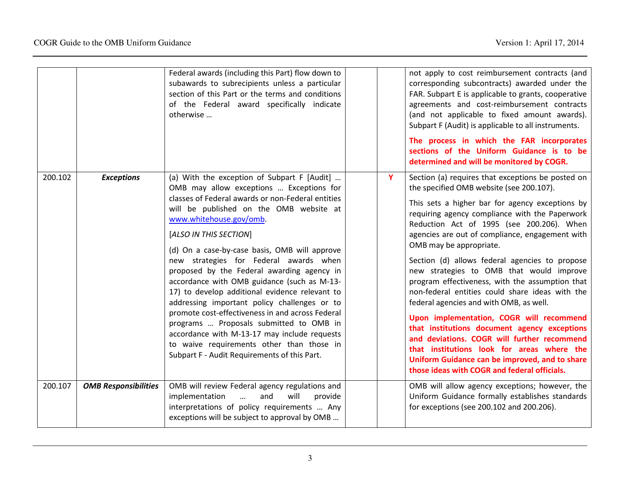|         |                             | Federal awards (including this Part) flow down to<br>subawards to subrecipients unless a particular<br>section of this Part or the terms and conditions<br>of the Federal award specifically indicate<br>otherwise                                                                                                                                                                                                                                                                                                                                                                                                                                                                                                                                                                 |   | not apply to cost reimbursement contracts (and<br>corresponding subcontracts) awarded under the<br>FAR. Subpart E is applicable to grants, cooperative<br>agreements and cost-reimbursement contracts<br>(and not applicable to fixed amount awards).<br>Subpart F (Audit) is applicable to all instruments.<br>The process in which the FAR incorporates<br>sections of the Uniform Guidance is to be<br>determined and will be monitored by COGR.                                                                                                                                                                                                                                                                                                                                                                                                                     |
|---------|-----------------------------|------------------------------------------------------------------------------------------------------------------------------------------------------------------------------------------------------------------------------------------------------------------------------------------------------------------------------------------------------------------------------------------------------------------------------------------------------------------------------------------------------------------------------------------------------------------------------------------------------------------------------------------------------------------------------------------------------------------------------------------------------------------------------------|---|-------------------------------------------------------------------------------------------------------------------------------------------------------------------------------------------------------------------------------------------------------------------------------------------------------------------------------------------------------------------------------------------------------------------------------------------------------------------------------------------------------------------------------------------------------------------------------------------------------------------------------------------------------------------------------------------------------------------------------------------------------------------------------------------------------------------------------------------------------------------------|
| 200.102 | <b>Exceptions</b>           | (a) With the exception of Subpart F [Audit]<br>OMB may allow exceptions  Exceptions for<br>classes of Federal awards or non-Federal entities<br>will be published on the OMB website at<br>www.whitehouse.gov/omb.<br>[ALSO IN THIS SECTION]<br>(d) On a case-by-case basis, OMB will approve<br>new strategies for Federal awards when<br>proposed by the Federal awarding agency in<br>accordance with OMB guidance (such as M-13-<br>17) to develop additional evidence relevant to<br>addressing important policy challenges or to<br>promote cost-effectiveness in and across Federal<br>programs  Proposals submitted to OMB in<br>accordance with M-13-17 may include requests<br>to waive requirements other than those in<br>Subpart F - Audit Requirements of this Part. | Y | Section (a) requires that exceptions be posted on<br>the specified OMB website (see 200.107).<br>This sets a higher bar for agency exceptions by<br>requiring agency compliance with the Paperwork<br>Reduction Act of 1995 (see 200.206). When<br>agencies are out of compliance, engagement with<br>OMB may be appropriate.<br>Section (d) allows federal agencies to propose<br>new strategies to OMB that would improve<br>program effectiveness, with the assumption that<br>non-federal entities could share ideas with the<br>federal agencies and with OMB, as well.<br>Upon implementation, COGR will recommend<br>that institutions document agency exceptions<br>and deviations. COGR will further recommend<br>that institutions look for areas where the<br>Uniform Guidance can be improved, and to share<br>those ideas with COGR and federal officials. |
| 200.107 | <b>OMB Responsibilities</b> | OMB will review Federal agency regulations and<br>implementation<br>will<br>and<br>provide<br>$\dddotsc$<br>interpretations of policy requirements  Any<br>exceptions will be subject to approval by OMB                                                                                                                                                                                                                                                                                                                                                                                                                                                                                                                                                                           |   | OMB will allow agency exceptions; however, the<br>Uniform Guidance formally establishes standards<br>for exceptions (see 200.102 and 200.206).                                                                                                                                                                                                                                                                                                                                                                                                                                                                                                                                                                                                                                                                                                                          |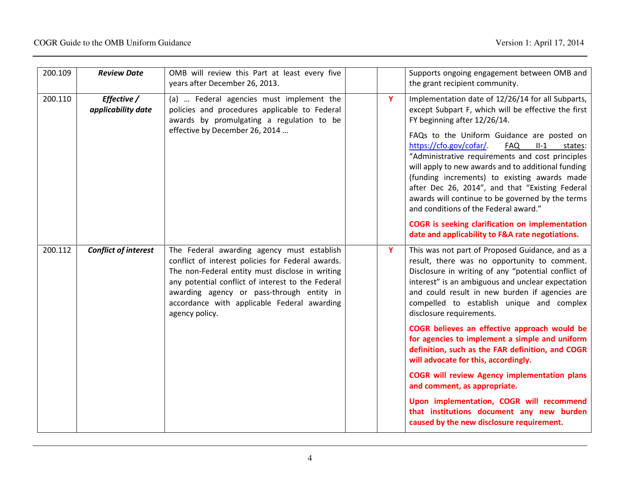| 200.109 | <b>Review Date</b>                | OMB will review this Part at least every five<br>years after December 26, 2013.                                                                                                                                                                                                                                       |   | Supports ongoing engagement between OMB and<br>the grant recipient community.                                                                                                                                                                                                                                                                                                                                                                                                                                                                                                                                                                                                                                                                                      |
|---------|-----------------------------------|-----------------------------------------------------------------------------------------------------------------------------------------------------------------------------------------------------------------------------------------------------------------------------------------------------------------------|---|--------------------------------------------------------------------------------------------------------------------------------------------------------------------------------------------------------------------------------------------------------------------------------------------------------------------------------------------------------------------------------------------------------------------------------------------------------------------------------------------------------------------------------------------------------------------------------------------------------------------------------------------------------------------------------------------------------------------------------------------------------------------|
| 200.110 | Effective /<br>applicability date | (a)  Federal agencies must implement the<br>policies and procedures applicable to Federal<br>awards by promulgating a regulation to be<br>effective by December 26, 2014                                                                                                                                              | Y | Implementation date of 12/26/14 for all Subparts,<br>except Subpart F, which will be effective the first<br>FY beginning after 12/26/14.<br>FAQs to the Uniform Guidance are posted on<br>https://cfo.gov/cofar/<br><b>FAQ</b><br>$II-1$<br>states:<br>"Administrative requirements and cost principles<br>will apply to new awards and to additional funding<br>(funding increments) to existing awards made<br>after Dec 26, 2014", and that "Existing Federal<br>awards will continue to be governed by the terms<br>and conditions of the Federal award."<br><b>COGR</b> is seeking clarification on implementation<br>date and applicability to F&A rate negotiations.                                                                                        |
| 200.112 | <b>Conflict of interest</b>       | The Federal awarding agency must establish<br>conflict of interest policies for Federal awards.<br>The non-Federal entity must disclose in writing<br>any potential conflict of interest to the Federal<br>awarding agency or pass-through entity in<br>accordance with applicable Federal awarding<br>agency policy. | Y | This was not part of Proposed Guidance, and as a<br>result, there was no opportunity to comment.<br>Disclosure in writing of any "potential conflict of<br>interest" is an ambiguous and unclear expectation<br>and could result in new burden if agencies are<br>compelled to establish unique and complex<br>disclosure requirements.<br>COGR believes an effective approach would be<br>for agencies to implement a simple and uniform<br>definition, such as the FAR definition, and COGR<br>will advocate for this, accordingly.<br><b>COGR will review Agency implementation plans</b><br>and comment, as appropriate.<br>Upon implementation, COGR will recommend<br>that institutions document any new burden<br>caused by the new disclosure requirement. |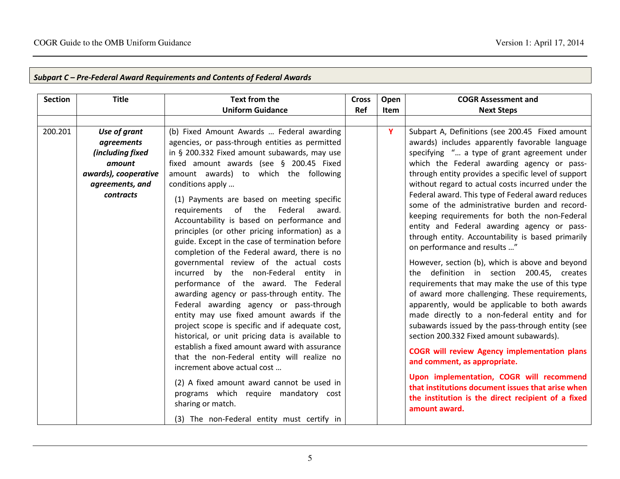| <b>Section</b> | <b>Title</b>         | <b>Text from the</b>                                                                                                                                                                                                                                                                                                                                                                                                                                                                                                                                                                                                                                                                                                                                                                                                                                                                                            | <b>Cross</b> | Open        | <b>COGR Assessment and</b>                                                                                                                                                                                                                                                                                                                                                                                                                                                                                                                                                                                                                                                                                                                                                                                                                                                                                                                                     |
|----------------|----------------------|-----------------------------------------------------------------------------------------------------------------------------------------------------------------------------------------------------------------------------------------------------------------------------------------------------------------------------------------------------------------------------------------------------------------------------------------------------------------------------------------------------------------------------------------------------------------------------------------------------------------------------------------------------------------------------------------------------------------------------------------------------------------------------------------------------------------------------------------------------------------------------------------------------------------|--------------|-------------|----------------------------------------------------------------------------------------------------------------------------------------------------------------------------------------------------------------------------------------------------------------------------------------------------------------------------------------------------------------------------------------------------------------------------------------------------------------------------------------------------------------------------------------------------------------------------------------------------------------------------------------------------------------------------------------------------------------------------------------------------------------------------------------------------------------------------------------------------------------------------------------------------------------------------------------------------------------|
|                |                      | <b>Uniform Guidance</b>                                                                                                                                                                                                                                                                                                                                                                                                                                                                                                                                                                                                                                                                                                                                                                                                                                                                                         | Ref          | <b>Item</b> | <b>Next Steps</b>                                                                                                                                                                                                                                                                                                                                                                                                                                                                                                                                                                                                                                                                                                                                                                                                                                                                                                                                              |
|                |                      |                                                                                                                                                                                                                                                                                                                                                                                                                                                                                                                                                                                                                                                                                                                                                                                                                                                                                                                 |              |             |                                                                                                                                                                                                                                                                                                                                                                                                                                                                                                                                                                                                                                                                                                                                                                                                                                                                                                                                                                |
| 200.201        | Use of grant         | (b) Fixed Amount Awards  Federal awarding                                                                                                                                                                                                                                                                                                                                                                                                                                                                                                                                                                                                                                                                                                                                                                                                                                                                       |              | Y           | Subpart A, Definitions (see 200.45 Fixed amount                                                                                                                                                                                                                                                                                                                                                                                                                                                                                                                                                                                                                                                                                                                                                                                                                                                                                                                |
|                | agreements           | agencies, or pass-through entities as permitted                                                                                                                                                                                                                                                                                                                                                                                                                                                                                                                                                                                                                                                                                                                                                                                                                                                                 |              |             | awards) includes apparently favorable language                                                                                                                                                                                                                                                                                                                                                                                                                                                                                                                                                                                                                                                                                                                                                                                                                                                                                                                 |
|                | (including fixed     | in § 200.332 Fixed amount subawards, may use                                                                                                                                                                                                                                                                                                                                                                                                                                                                                                                                                                                                                                                                                                                                                                                                                                                                    |              |             | specifying " a type of grant agreement under                                                                                                                                                                                                                                                                                                                                                                                                                                                                                                                                                                                                                                                                                                                                                                                                                                                                                                                   |
|                | amount               | fixed amount awards (see § 200.45 Fixed                                                                                                                                                                                                                                                                                                                                                                                                                                                                                                                                                                                                                                                                                                                                                                                                                                                                         |              |             | which the Federal awarding agency or pass-                                                                                                                                                                                                                                                                                                                                                                                                                                                                                                                                                                                                                                                                                                                                                                                                                                                                                                                     |
|                | awards), cooperative | amount awards) to which the following                                                                                                                                                                                                                                                                                                                                                                                                                                                                                                                                                                                                                                                                                                                                                                                                                                                                           |              |             | through entity provides a specific level of support                                                                                                                                                                                                                                                                                                                                                                                                                                                                                                                                                                                                                                                                                                                                                                                                                                                                                                            |
|                | agreements, and      | conditions apply                                                                                                                                                                                                                                                                                                                                                                                                                                                                                                                                                                                                                                                                                                                                                                                                                                                                                                |              |             | without regard to actual costs incurred under the                                                                                                                                                                                                                                                                                                                                                                                                                                                                                                                                                                                                                                                                                                                                                                                                                                                                                                              |
|                | contracts            | (1) Payments are based on meeting specific<br>Federal<br>requirements of the<br>award.<br>Accountability is based on performance and<br>principles (or other pricing information) as a<br>guide. Except in the case of termination before<br>completion of the Federal award, there is no<br>governmental review of the actual costs<br>incurred by the non-Federal entity in<br>performance of the award. The Federal<br>awarding agency or pass-through entity. The<br>Federal awarding agency or pass-through<br>entity may use fixed amount awards if the<br>project scope is specific and if adequate cost,<br>historical, or unit pricing data is available to<br>establish a fixed amount award with assurance<br>that the non-Federal entity will realize no<br>increment above actual cost<br>(2) A fixed amount award cannot be used in<br>programs which require mandatory cost<br>sharing or match. |              |             | Federal award. This type of Federal award reduces<br>some of the administrative burden and record-<br>keeping requirements for both the non-Federal<br>entity and Federal awarding agency or pass-<br>through entity. Accountability is based primarily<br>on performance and results "<br>However, section (b), which is above and beyond<br>the definition in section 200.45, creates<br>requirements that may make the use of this type<br>of award more challenging. These requirements,<br>apparently, would be applicable to both awards<br>made directly to a non-federal entity and for<br>subawards issued by the pass-through entity (see<br>section 200.332 Fixed amount subawards).<br><b>COGR will review Agency implementation plans</b><br>and comment, as appropriate.<br>Upon implementation, COGR will recommend<br>that institutions document issues that arise when<br>the institution is the direct recipient of a fixed<br>amount award. |
|                |                      | (3) The non-Federal entity must certify in                                                                                                                                                                                                                                                                                                                                                                                                                                                                                                                                                                                                                                                                                                                                                                                                                                                                      |              |             |                                                                                                                                                                                                                                                                                                                                                                                                                                                                                                                                                                                                                                                                                                                                                                                                                                                                                                                                                                |

#### Subpart C – Pre-Federal Award Requirements and Contents of Federal Awards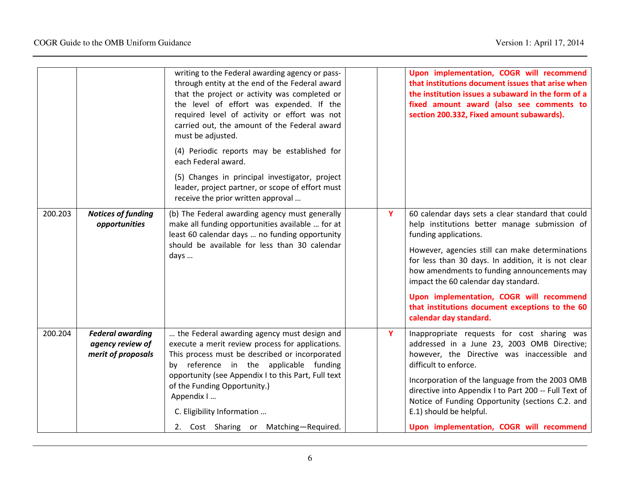|         |                                                                   | writing to the Federal awarding agency or pass-<br>through entity at the end of the Federal award<br>that the project or activity was completed or<br>the level of effort was expended. If the<br>required level of activity or effort was not<br>carried out, the amount of the Federal award<br>must be adjusted.<br>(4) Periodic reports may be established for<br>each Federal award.<br>(5) Changes in principal investigator, project<br>leader, project partner, or scope of effort must<br>receive the prior written approval |   | Upon implementation, COGR will recommend<br>that institutions document issues that arise when<br>the institution issues a subaward in the form of a<br>fixed amount award (also see comments to<br>section 200.332, Fixed amount subawards).                                                                                                                                                                                                          |
|---------|-------------------------------------------------------------------|---------------------------------------------------------------------------------------------------------------------------------------------------------------------------------------------------------------------------------------------------------------------------------------------------------------------------------------------------------------------------------------------------------------------------------------------------------------------------------------------------------------------------------------|---|-------------------------------------------------------------------------------------------------------------------------------------------------------------------------------------------------------------------------------------------------------------------------------------------------------------------------------------------------------------------------------------------------------------------------------------------------------|
| 200.203 | <b>Notices of funding</b><br>opportunities                        | (b) The Federal awarding agency must generally<br>make all funding opportunities available  for at<br>least 60 calendar days  no funding opportunity<br>should be available for less than 30 calendar<br>days                                                                                                                                                                                                                                                                                                                         | Y | 60 calendar days sets a clear standard that could<br>help institutions better manage submission of<br>funding applications.<br>However, agencies still can make determinations<br>for less than 30 days. In addition, it is not clear<br>how amendments to funding announcements may<br>impact the 60 calendar day standard.<br>Upon implementation, COGR will recommend<br>that institutions document exceptions to the 60<br>calendar day standard. |
| 200.204 | <b>Federal awarding</b><br>agency review of<br>merit of proposals | the Federal awarding agency must design and<br>execute a merit review process for applications.<br>This process must be described or incorporated<br>by reference in the applicable funding<br>opportunity (see Appendix I to this Part, Full text<br>of the Funding Opportunity.)<br>Appendix I<br>C. Eligibility Information<br>2. Cost Sharing or Matching-Required.                                                                                                                                                               | Y | Inappropriate requests for cost sharing was<br>addressed in a June 23, 2003 OMB Directive;<br>however, the Directive was inaccessible and<br>difficult to enforce.<br>Incorporation of the language from the 2003 OMB<br>directive into Appendix I to Part 200 -- Full Text of<br>Notice of Funding Opportunity (sections C.2. and<br>E.1) should be helpful.<br>Upon implementation, COGR will recommend                                             |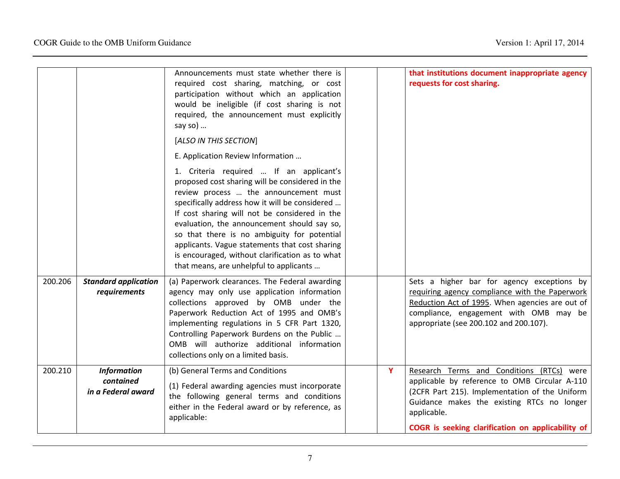|         |                                                       | Announcements must state whether there is<br>required cost sharing, matching, or cost<br>participation without which an application<br>would be ineligible (if cost sharing is not<br>required, the announcement must explicitly<br>say so)                                                                                                                                                                                                                                          |   | that institutions document inappropriate agency<br>requests for cost sharing.                                                                                                                                                                                  |
|---------|-------------------------------------------------------|--------------------------------------------------------------------------------------------------------------------------------------------------------------------------------------------------------------------------------------------------------------------------------------------------------------------------------------------------------------------------------------------------------------------------------------------------------------------------------------|---|----------------------------------------------------------------------------------------------------------------------------------------------------------------------------------------------------------------------------------------------------------------|
|         |                                                       | [ALSO IN THIS SECTION]                                                                                                                                                                                                                                                                                                                                                                                                                                                               |   |                                                                                                                                                                                                                                                                |
|         |                                                       | E. Application Review Information                                                                                                                                                                                                                                                                                                                                                                                                                                                    |   |                                                                                                                                                                                                                                                                |
|         |                                                       | 1. Criteria required  If an applicant's<br>proposed cost sharing will be considered in the<br>review process  the announcement must<br>specifically address how it will be considered<br>If cost sharing will not be considered in the<br>evaluation, the announcement should say so,<br>so that there is no ambiguity for potential<br>applicants. Vague statements that cost sharing<br>is encouraged, without clarification as to what<br>that means, are unhelpful to applicants |   |                                                                                                                                                                                                                                                                |
| 200.206 | <b>Standard application</b><br>requirements           | (a) Paperwork clearances. The Federal awarding<br>agency may only use application information<br>collections approved by OMB under the<br>Paperwork Reduction Act of 1995 and OMB's<br>implementing regulations in 5 CFR Part 1320,<br>Controlling Paperwork Burdens on the Public<br>OMB will authorize additional information<br>collections only on a limited basis.                                                                                                              |   | Sets a higher bar for agency exceptions by<br>requiring agency compliance with the Paperwork<br>Reduction Act of 1995. When agencies are out of<br>compliance, engagement with OMB may be<br>appropriate (see 200.102 and 200.107).                            |
| 200.210 | <b>Information</b><br>contained<br>in a Federal award | (b) General Terms and Conditions<br>(1) Federal awarding agencies must incorporate<br>the following general terms and conditions<br>either in the Federal award or by reference, as<br>applicable:                                                                                                                                                                                                                                                                                   | Y | Research Terms and Conditions (RTCs) were<br>applicable by reference to OMB Circular A-110<br>(2CFR Part 215). Implementation of the Uniform<br>Guidance makes the existing RTCs no longer<br>applicable.<br>COGR is seeking clarification on applicability of |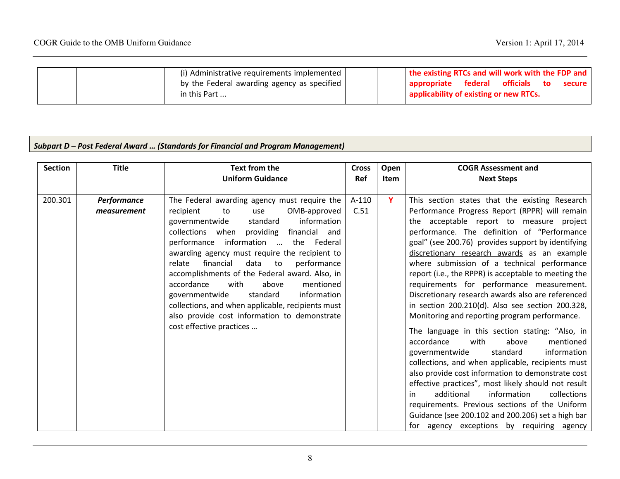| (i) Administrative requirements implemented                 | the existing RTCs and will work with the FDP and                                                    |
|-------------------------------------------------------------|-----------------------------------------------------------------------------------------------------|
| by the Federal awarding agency as specified<br>in this Part | federal officials<br><b>appropriate</b><br>secure l<br>to<br>applicability of existing or new RTCs. |
|                                                             |                                                                                                     |

### Subpart D – Post Federal Award … (Standards for Financial and Program Management)

| <b>Section</b> | <b>Title</b>                      | <b>Text from the</b>                                                                                                                                                                                                                                                                                                                                                                                                                                                                                                                                                                                             | <b>Cross</b>    | Open        | <b>COGR Assessment and</b>                                                                                                                                                                                                                                                                                                                                                                                                                                                                                                                                                                                                                                                                                    |
|----------------|-----------------------------------|------------------------------------------------------------------------------------------------------------------------------------------------------------------------------------------------------------------------------------------------------------------------------------------------------------------------------------------------------------------------------------------------------------------------------------------------------------------------------------------------------------------------------------------------------------------------------------------------------------------|-----------------|-------------|---------------------------------------------------------------------------------------------------------------------------------------------------------------------------------------------------------------------------------------------------------------------------------------------------------------------------------------------------------------------------------------------------------------------------------------------------------------------------------------------------------------------------------------------------------------------------------------------------------------------------------------------------------------------------------------------------------------|
|                |                                   | <b>Uniform Guidance</b>                                                                                                                                                                                                                                                                                                                                                                                                                                                                                                                                                                                          | <b>Ref</b>      | <b>Item</b> | <b>Next Steps</b>                                                                                                                                                                                                                                                                                                                                                                                                                                                                                                                                                                                                                                                                                             |
|                |                                   |                                                                                                                                                                                                                                                                                                                                                                                                                                                                                                                                                                                                                  |                 |             |                                                                                                                                                                                                                                                                                                                                                                                                                                                                                                                                                                                                                                                                                                               |
| 200.301        | <b>Performance</b><br>measurement | The Federal awarding agency must require the<br>OMB-approved<br>recipient<br>to<br>use<br>information<br>governmentwide<br>standard<br>collections when providing<br>financial and<br>information<br>the Federal<br>performance<br>awarding agency must require the recipient to<br>financial<br>relate<br>data<br>performance<br>to<br>accomplishments of the Federal award. Also, in<br>with<br>above<br>accordance<br>mentioned<br>standard<br>information<br>governmentwide<br>collections, and when applicable, recipients must<br>also provide cost information to demonstrate<br>cost effective practices | $A-110$<br>C.51 | Y           | This section states that the existing Research<br>Performance Progress Report (RPPR) will remain<br>the acceptable report to measure project<br>performance. The definition of "Performance<br>goal" (see 200.76) provides support by identifying<br>discretionary research awards as an example<br>where submission of a technical performance<br>report (i.e., the RPPR) is acceptable to meeting the<br>requirements for performance measurement.<br>Discretionary research awards also are referenced<br>in section 200.210(d). Also see section 200.328,<br>Monitoring and reporting program performance.<br>The language in this section stating: "Also, in<br>accordance<br>mentioned<br>with<br>above |
|                |                                   |                                                                                                                                                                                                                                                                                                                                                                                                                                                                                                                                                                                                                  |                 |             | information<br>standard<br>governmentwide<br>collections, and when applicable, recipients must<br>also provide cost information to demonstrate cost<br>effective practices", most likely should not result<br>additional<br>information<br>collections<br>in<br>requirements. Previous sections of the Uniform<br>Guidance (see 200.102 and 200.206) set a high bar<br>for agency exceptions by requiring agency                                                                                                                                                                                                                                                                                              |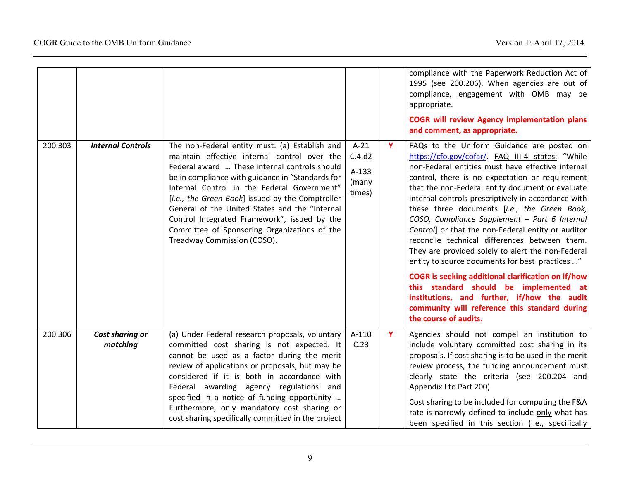|         |                             |                                                                                                                                                                                                                                                                                                                                                                                                                                                                                         |                                                |   | compliance with the Paperwork Reduction Act of<br>1995 (see 200.206). When agencies are out of<br>compliance, engagement with OMB may be<br>appropriate.<br><b>COGR will review Agency implementation plans</b><br>and comment, as appropriate.                                                                                                                                                                                                                                                                                                                                                                                                                                                                                                                                                                                                                   |
|---------|-----------------------------|-----------------------------------------------------------------------------------------------------------------------------------------------------------------------------------------------------------------------------------------------------------------------------------------------------------------------------------------------------------------------------------------------------------------------------------------------------------------------------------------|------------------------------------------------|---|-------------------------------------------------------------------------------------------------------------------------------------------------------------------------------------------------------------------------------------------------------------------------------------------------------------------------------------------------------------------------------------------------------------------------------------------------------------------------------------------------------------------------------------------------------------------------------------------------------------------------------------------------------------------------------------------------------------------------------------------------------------------------------------------------------------------------------------------------------------------|
| 200.303 | <b>Internal Controls</b>    | The non-Federal entity must: (a) Establish and<br>maintain effective internal control over the<br>Federal award  These internal controls should<br>be in compliance with guidance in "Standards for<br>Internal Control in the Federal Government"<br>[i.e., the Green Book] issued by the Comptroller<br>General of the United States and the "Internal<br>Control Integrated Framework", issued by the<br>Committee of Sponsoring Organizations of the<br>Treadway Commission (COSO). | $A-21$<br>C.4.d2<br>$A-133$<br>(many<br>times) | Y | FAQs to the Uniform Guidance are posted on<br>https://cfo.gov/cofar/. FAQ III-4 states: "While<br>non-Federal entities must have effective internal<br>control, there is no expectation or requirement<br>that the non-Federal entity document or evaluate<br>internal controls prescriptively in accordance with<br>these three documents [i.e., the Green Book,<br>COSO, Compliance Supplement - Part 6 Internal<br>Control] or that the non-Federal entity or auditor<br>reconcile technical differences between them.<br>They are provided solely to alert the non-Federal<br>entity to source documents for best practices "<br><b>COGR</b> is seeking additional clarification on if/how<br>this standard should be implemented at<br>institutions, and further, if/how the audit<br>community will reference this standard during<br>the course of audits. |
| 200.306 | Cost sharing or<br>matching | (a) Under Federal research proposals, voluntary<br>committed cost sharing is not expected. It<br>cannot be used as a factor during the merit<br>review of applications or proposals, but may be<br>considered if it is both in accordance with<br>Federal awarding agency regulations<br>and<br>specified in a notice of funding opportunity<br>Furthermore, only mandatory cost sharing or<br>cost sharing specifically committed in the project                                       | A-110<br>C.23                                  | Y | Agencies should not compel an institution to<br>include voluntary committed cost sharing in its<br>proposals. If cost sharing is to be used in the merit<br>review process, the funding announcement must<br>clearly state the criteria (see 200.204 and<br>Appendix I to Part 200).<br>Cost sharing to be included for computing the F&A<br>rate is narrowly defined to include only what has<br>been specified in this section (i.e., specifically                                                                                                                                                                                                                                                                                                                                                                                                              |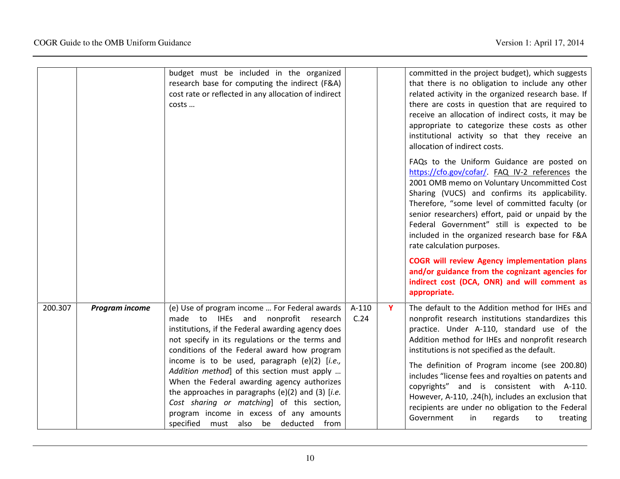|         |                | budget must be included in the organized<br>research base for computing the indirect (F&A)<br>cost rate or reflected in any allocation of indirect<br>costs                                                                                                                                                                                                                                                                                                                                                                                        |               |    | committed in the project budget), which suggests<br>that there is no obligation to include any other<br>related activity in the organized research base. If<br>there are costs in question that are required to<br>receive an allocation of indirect costs, it may be<br>appropriate to categorize these costs as other<br>institutional activity so that they receive an<br>allocation of indirect costs.                                                                                                             |
|---------|----------------|----------------------------------------------------------------------------------------------------------------------------------------------------------------------------------------------------------------------------------------------------------------------------------------------------------------------------------------------------------------------------------------------------------------------------------------------------------------------------------------------------------------------------------------------------|---------------|----|------------------------------------------------------------------------------------------------------------------------------------------------------------------------------------------------------------------------------------------------------------------------------------------------------------------------------------------------------------------------------------------------------------------------------------------------------------------------------------------------------------------------|
|         |                |                                                                                                                                                                                                                                                                                                                                                                                                                                                                                                                                                    |               |    | FAQs to the Uniform Guidance are posted on<br>https://cfo.gov/cofar/. FAQ IV-2 references the<br>2001 OMB memo on Voluntary Uncommitted Cost<br>Sharing (VUCS) and confirms its applicability.<br>Therefore, "some level of committed faculty (or<br>senior researchers) effort, paid or unpaid by the<br>Federal Government" still is expected to be<br>included in the organized research base for F&A<br>rate calculation purposes.                                                                                 |
|         |                |                                                                                                                                                                                                                                                                                                                                                                                                                                                                                                                                                    |               |    | <b>COGR will review Agency implementation plans</b><br>and/or guidance from the cognizant agencies for<br>indirect cost (DCA, ONR) and will comment as<br>appropriate.                                                                                                                                                                                                                                                                                                                                                 |
| 200.307 | Program income | (e) Use of program income  For Federal awards<br>made to IHEs<br>and<br>nonprofit research<br>institutions, if the Federal awarding agency does<br>not specify in its regulations or the terms and<br>conditions of the Federal award how program<br>income is to be used, paragraph (e)(2) [i.e.,<br>Addition method] of this section must apply<br>When the Federal awarding agency authorizes<br>the approaches in paragraphs $(e)(2)$ and $(3)$ [i.e.<br>Cost sharing or matching] of this section,<br>program income in excess of any amounts | A-110<br>C.24 | Y. | The default to the Addition method for IHEs and<br>nonprofit research institutions standardizes this<br>practice. Under A-110, standard use of the<br>Addition method for IHEs and nonprofit research<br>institutions is not specified as the default.<br>The definition of Program income (see 200.80)<br>includes "license fees and royalties on patents and<br>copyrights" and is consistent with A-110.<br>However, A-110, .24(h), includes an exclusion that<br>recipients are under no obligation to the Federal |
|         |                | specified must also be deducted from                                                                                                                                                                                                                                                                                                                                                                                                                                                                                                               |               |    | Government<br>in<br>regards<br>treating<br>to                                                                                                                                                                                                                                                                                                                                                                                                                                                                          |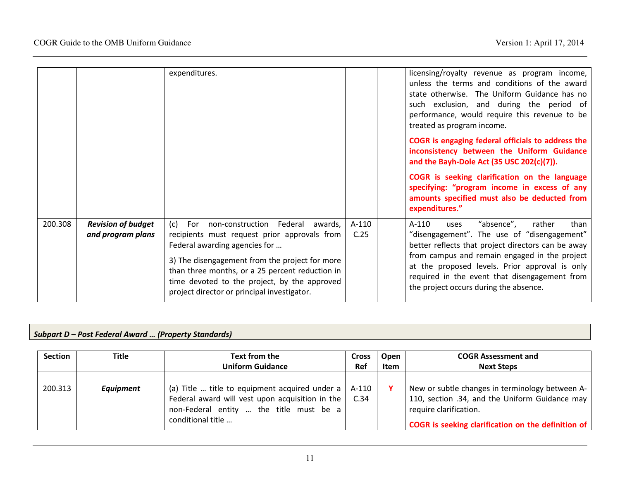|         |                                                | expenditures.                                                                                                                                                                                                                                                                                                                       |                 | licensing/royalty revenue as program income,<br>unless the terms and conditions of the award<br>state otherwise. The Uniform Guidance has no<br>such exclusion, and during the period of<br>performance, would require this revenue to be<br>treated as program income.<br>COGR is engaging federal officials to address the<br>inconsistency between the Uniform Guidance<br>and the Bayh-Dole Act (35 USC 202(c)(7)). |      |
|---------|------------------------------------------------|-------------------------------------------------------------------------------------------------------------------------------------------------------------------------------------------------------------------------------------------------------------------------------------------------------------------------------------|-----------------|-------------------------------------------------------------------------------------------------------------------------------------------------------------------------------------------------------------------------------------------------------------------------------------------------------------------------------------------------------------------------------------------------------------------------|------|
|         |                                                |                                                                                                                                                                                                                                                                                                                                     |                 | COGR is seeking clarification on the language<br>specifying: "program income in excess of any<br>amounts specified must also be deducted from<br>expenditures."                                                                                                                                                                                                                                                         |      |
| 200.308 | <b>Revision of budget</b><br>and program plans | non-construction Federal awards,<br>(c)<br>For<br>recipients must request prior approvals from<br>Federal awarding agencies for<br>3) The disengagement from the project for more<br>than three months, or a 25 percent reduction in<br>time devoted to the project, by the approved<br>project director or principal investigator. | $A-110$<br>C.25 | "absence",<br>A-110<br>rather<br>uses<br>"disengagement". The use of "disengagement"<br>better reflects that project directors can be away<br>from campus and remain engaged in the project<br>at the proposed levels. Prior approval is only<br>required in the event that disengagement from<br>the project occurs during the absence.                                                                                | than |

### Subpart D – Post Federal Award … (Property Standards)

| <b>Section</b> | <b>Title</b>     | Text from the                                                | <b>Cross</b> | Open | <b>COGR Assessment and</b>                         |
|----------------|------------------|--------------------------------------------------------------|--------------|------|----------------------------------------------------|
|                |                  | <b>Uniform Guidance</b>                                      | Ref          | Item | <b>Next Steps</b>                                  |
|                |                  |                                                              |              |      |                                                    |
| 200.313        | <b>Equipment</b> | (a) Title  title to equipment acquired under a $\vert$ A-110 |              |      | New or subtle changes in terminology between A-    |
|                |                  | Federal award will vest upon acquisition in the $ $          | C.34         |      | 110, section .34, and the Uniform Guidance may     |
|                |                  | non-Federal entity  the title must be a                      |              |      | require clarification.                             |
|                |                  | conditional title                                            |              |      | COGR is seeking clarification on the definition of |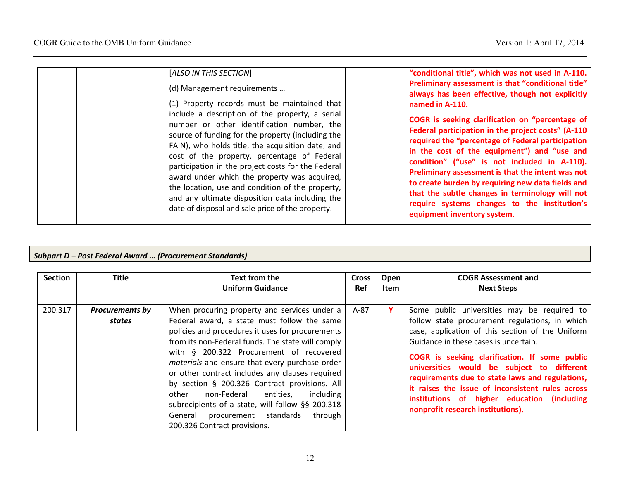| [ALSO IN THIS SECTION]                                                                                                                                                                                                                                                                                                                                                                                                                                               | "conditional title", which was not used in A-110.                                                                                                                                                                                                                                                                                                                                                                                                                                                     |
|----------------------------------------------------------------------------------------------------------------------------------------------------------------------------------------------------------------------------------------------------------------------------------------------------------------------------------------------------------------------------------------------------------------------------------------------------------------------|-------------------------------------------------------------------------------------------------------------------------------------------------------------------------------------------------------------------------------------------------------------------------------------------------------------------------------------------------------------------------------------------------------------------------------------------------------------------------------------------------------|
| (d) Management requirements<br>(1) Property records must be maintained that                                                                                                                                                                                                                                                                                                                                                                                          | Preliminary assessment is that "conditional title"<br>always has been effective, though not explicitly<br>named in A-110.                                                                                                                                                                                                                                                                                                                                                                             |
| include a description of the property, a serial                                                                                                                                                                                                                                                                                                                                                                                                                      |                                                                                                                                                                                                                                                                                                                                                                                                                                                                                                       |
| number or other identification number, the<br>source of funding for the property (including the<br>FAIN), who holds title, the acquisition date, and<br>cost of the property, percentage of Federal<br>participation in the project costs for the Federal<br>award under which the property was acquired,<br>the location, use and condition of the property,<br>and any ultimate disposition data including the<br>date of disposal and sale price of the property. | COGR is seeking clarification on "percentage of<br>Federal participation in the project costs" (A-110<br>required the "percentage of Federal participation<br>in the cost of the equipment") and "use and<br>condition" ("use" is not included in A-110).<br>Preliminary assessment is that the intent was not<br>to create burden by requiring new data fields and<br>that the subtle changes in terminology will not<br>require systems changes to the institution's<br>equipment inventory system. |

### Subpart D – Post Federal Award … (Procurement Standards)

| <b>Section</b> | <b>Title</b>                     | Text from the<br><b>Uniform Guidance</b>                                                                                                                                                                                                                                                                                                                                                                                                                                                                                                                   | <b>Cross</b><br><b>Ref</b> | Open<br>Item | <b>COGR Assessment and</b><br><b>Next Steps</b>                                                                                                                                                                                                                                                                                                                                                                                                                                      |
|----------------|----------------------------------|------------------------------------------------------------------------------------------------------------------------------------------------------------------------------------------------------------------------------------------------------------------------------------------------------------------------------------------------------------------------------------------------------------------------------------------------------------------------------------------------------------------------------------------------------------|----------------------------|--------------|--------------------------------------------------------------------------------------------------------------------------------------------------------------------------------------------------------------------------------------------------------------------------------------------------------------------------------------------------------------------------------------------------------------------------------------------------------------------------------------|
|                |                                  |                                                                                                                                                                                                                                                                                                                                                                                                                                                                                                                                                            |                            |              |                                                                                                                                                                                                                                                                                                                                                                                                                                                                                      |
| 200.317        | <b>Procurements by</b><br>states | When procuring property and services under a<br>Federal award, a state must follow the same<br>policies and procedures it uses for procurements<br>from its non-Federal funds. The state will comply<br>with § 200.322 Procurement of recovered<br>materials and ensure that every purchase order<br>or other contract includes any clauses required<br>by section § 200.326 Contract provisions. All<br>non-Federal<br>including<br>other<br>entities.<br>subrecipients of a state, will follow §§ 200.318<br>through<br>procurement standards<br>General | $A-87$                     | Υ            | Some public universities may be required to<br>follow state procurement regulations, in which<br>case, application of this section of the Uniform<br>Guidance in these cases is uncertain.<br>COGR is seeking clarification. If some public<br>universities would be subject to different<br>requirements due to state laws and regulations,<br>it raises the issue of inconsistent rules across<br>institutions of higher education (including<br>nonprofit research institutions). |
|                |                                  | 200.326 Contract provisions.                                                                                                                                                                                                                                                                                                                                                                                                                                                                                                                               |                            |              |                                                                                                                                                                                                                                                                                                                                                                                                                                                                                      |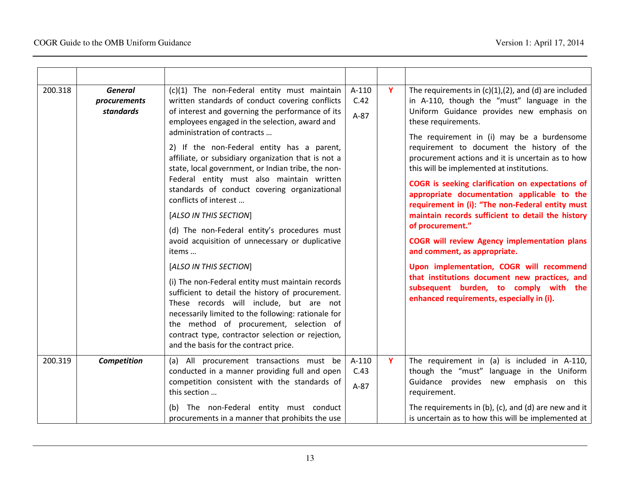| 200.318 | <b>General</b><br>(c)(1) The non-Federal entity must maintain<br>A-110<br>written standards of conduct covering conflicts<br>C.42<br>procurements<br>of interest and governing the performance of its<br><b>standards</b><br>$A-87$<br>employees engaged in the selection, award and<br>administration of contracts | $\mathbf{Y}$                                                                                                                                                                                                                                                                                                                                                              | The requirements in $(c)(1),(2)$ , and $(d)$ are included<br>in A-110, though the "must" language in the<br>Uniform Guidance provides new emphasis on<br>these requirements.<br>The requirement in (i) may be a burdensome |                                                                                                                                                                                                                                                 |                                                                                                                                                                                 |
|---------|---------------------------------------------------------------------------------------------------------------------------------------------------------------------------------------------------------------------------------------------------------------------------------------------------------------------|---------------------------------------------------------------------------------------------------------------------------------------------------------------------------------------------------------------------------------------------------------------------------------------------------------------------------------------------------------------------------|----------------------------------------------------------------------------------------------------------------------------------------------------------------------------------------------------------------------------|-------------------------------------------------------------------------------------------------------------------------------------------------------------------------------------------------------------------------------------------------|---------------------------------------------------------------------------------------------------------------------------------------------------------------------------------|
|         | 2) If the non-Federal entity has a parent,<br>affiliate, or subsidiary organization that is not a<br>state, local government, or Indian tribe, the non-<br>Federal entity must also maintain written<br>standards of conduct covering organizational<br>conflicts of interest                                       |                                                                                                                                                                                                                                                                                                                                                                           |                                                                                                                                                                                                                            | requirement to document the history of the<br>procurement actions and it is uncertain as to how<br>this will be implemented at institutions.<br>COGR is seeking clarification on expectations of<br>appropriate documentation applicable to the |                                                                                                                                                                                 |
|         |                                                                                                                                                                                                                                                                                                                     | [ALSO IN THIS SECTION]                                                                                                                                                                                                                                                                                                                                                    |                                                                                                                                                                                                                            |                                                                                                                                                                                                                                                 | requirement in (i): "The non-Federal entity must<br>maintain records sufficient to detail the history<br>of procurement."                                                       |
|         |                                                                                                                                                                                                                                                                                                                     | (d) The non-Federal entity's procedures must<br>avoid acquisition of unnecessary or duplicative<br>items                                                                                                                                                                                                                                                                  |                                                                                                                                                                                                                            |                                                                                                                                                                                                                                                 | <b>COGR will review Agency implementation plans</b><br>and comment, as appropriate.                                                                                             |
|         |                                                                                                                                                                                                                                                                                                                     | [ALSO IN THIS SECTION]<br>(i) The non-Federal entity must maintain records<br>sufficient to detail the history of procurement.<br>These records will include, but are not<br>necessarily limited to the following: rationale for<br>the method of procurement, selection of<br>contract type, contractor selection or rejection,<br>and the basis for the contract price. |                                                                                                                                                                                                                            |                                                                                                                                                                                                                                                 | Upon implementation, COGR will recommend<br>that institutions document new practices, and<br>subsequent burden, to comply with the<br>enhanced requirements, especially in (i). |
| 200.319 | Competition                                                                                                                                                                                                                                                                                                         | (a) All procurement transactions must be<br>conducted in a manner providing full and open<br>competition consistent with the standards of<br>this section                                                                                                                                                                                                                 | A-110<br>C.43<br>$A-87$                                                                                                                                                                                                    | Y                                                                                                                                                                                                                                               | The requirement in (a) is included in A-110,<br>though the "must" language in the Uniform<br>Guidance provides new emphasis on this<br>requirement.                             |
|         |                                                                                                                                                                                                                                                                                                                     | (b) The non-Federal entity must conduct<br>procurements in a manner that prohibits the use                                                                                                                                                                                                                                                                                |                                                                                                                                                                                                                            |                                                                                                                                                                                                                                                 | The requirements in $(b)$ , $(c)$ , and $(d)$ are new and it<br>is uncertain as to how this will be implemented at                                                              |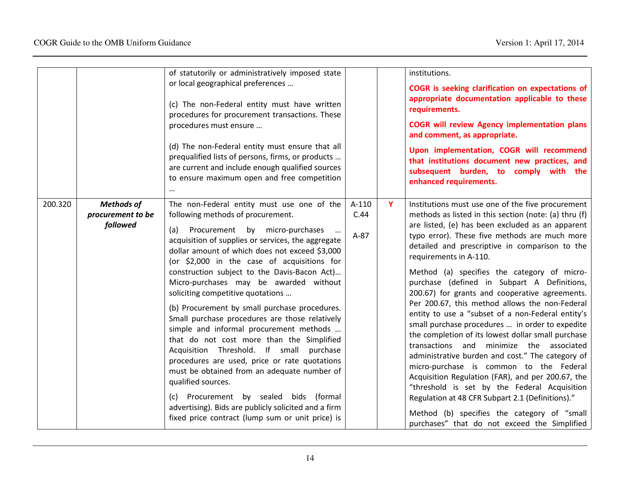|         |                                                    | of statutorily or administratively imposed state<br>or local geographical preferences<br>(c) The non-Federal entity must have written<br>procedures for procurement transactions. These<br>procedures must ensure<br>(d) The non-Federal entity must ensure that all<br>prequalified lists of persons, firms, or products<br>are current and include enough qualified sources<br>to ensure maximum open and free competition                                                                                                                                                                                                                                                                                                                                                                                                                                                                                                                  |                           |   | institutions.<br>COGR is seeking clarification on expectations of<br>appropriate documentation applicable to these<br>requirements.<br><b>COGR will review Agency implementation plans</b><br>and comment, as appropriate.<br>Upon implementation, COGR will recommend<br>that institutions document new practices, and<br>subsequent burden, to comply with the<br>enhanced requirements.                                                                                                                                                                                                                                                                                                                                                                                                                                                                                                                                                                                                                                                                     |
|---------|----------------------------------------------------|-----------------------------------------------------------------------------------------------------------------------------------------------------------------------------------------------------------------------------------------------------------------------------------------------------------------------------------------------------------------------------------------------------------------------------------------------------------------------------------------------------------------------------------------------------------------------------------------------------------------------------------------------------------------------------------------------------------------------------------------------------------------------------------------------------------------------------------------------------------------------------------------------------------------------------------------------|---------------------------|---|----------------------------------------------------------------------------------------------------------------------------------------------------------------------------------------------------------------------------------------------------------------------------------------------------------------------------------------------------------------------------------------------------------------------------------------------------------------------------------------------------------------------------------------------------------------------------------------------------------------------------------------------------------------------------------------------------------------------------------------------------------------------------------------------------------------------------------------------------------------------------------------------------------------------------------------------------------------------------------------------------------------------------------------------------------------|
| 200.320 | <b>Methods of</b><br>procurement to be<br>followed | The non-Federal entity must use one of the<br>following methods of procurement.<br>Procurement by micro-purchases<br>(a)<br>$\cdots$<br>acquisition of supplies or services, the aggregate<br>dollar amount of which does not exceed \$3,000<br>(or \$2,000 in the case of acquisitions for<br>construction subject to the Davis-Bacon Act)<br>Micro-purchases may be awarded without<br>soliciting competitive quotations<br>(b) Procurement by small purchase procedures.<br>Small purchase procedures are those relatively<br>simple and informal procurement methods<br>that do not cost more than the Simplified<br>Acquisition Threshold. If small purchase<br>procedures are used, price or rate quotations<br>must be obtained from an adequate number of<br>qualified sources.<br>(c) Procurement by sealed bids (formal<br>advertising). Bids are publicly solicited and a firm<br>fixed price contract (lump sum or unit price) is | $A-110$<br>C.44<br>$A-87$ | Y | Institutions must use one of the five procurement<br>methods as listed in this section (note: (a) thru (f)<br>are listed, (e) has been excluded as an apparent<br>typo error). These five methods are much more<br>detailed and prescriptive in comparison to the<br>requirements in A-110.<br>Method (a) specifies the category of micro-<br>purchase (defined in Subpart A Definitions,<br>200.67) for grants and cooperative agreements.<br>Per 200.67, this method allows the non-Federal<br>entity to use a "subset of a non-Federal entity's<br>small purchase procedures  in order to expedite<br>the completion of its lowest dollar small purchase<br>transactions and minimize the associated<br>administrative burden and cost." The category of<br>micro-purchase is common to the Federal<br>Acquisition Regulation (FAR), and per 200.67, the<br>"threshold is set by the Federal Acquisition<br>Regulation at 48 CFR Subpart 2.1 (Definitions)."<br>Method (b) specifies the category of "small<br>purchases" that do not exceed the Simplified |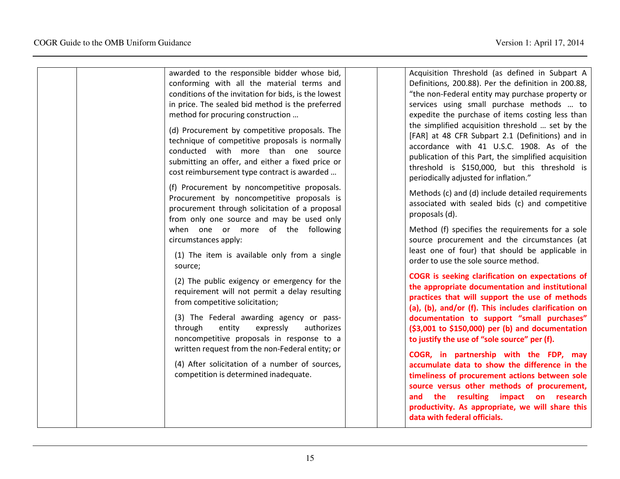| awarded to the responsible bidder whose bid,                                                                                                                                                                                              | Acquisition Threshold (as defined in Subpart A                                                                                                                                                                                                                                                      |
|-------------------------------------------------------------------------------------------------------------------------------------------------------------------------------------------------------------------------------------------|-----------------------------------------------------------------------------------------------------------------------------------------------------------------------------------------------------------------------------------------------------------------------------------------------------|
| conforming with all the material terms and                                                                                                                                                                                                | Definitions, 200.88). Per the definition in 200.88,                                                                                                                                                                                                                                                 |
| conditions of the invitation for bids, is the lowest                                                                                                                                                                                      | "the non-Federal entity may purchase property or                                                                                                                                                                                                                                                    |
| in price. The sealed bid method is the preferred                                                                                                                                                                                          | services using small purchase methods  to                                                                                                                                                                                                                                                           |
| method for procuring construction                                                                                                                                                                                                         | expedite the purchase of items costing less than                                                                                                                                                                                                                                                    |
| (d) Procurement by competitive proposals. The<br>technique of competitive proposals is normally<br>conducted with more than one source<br>submitting an offer, and either a fixed price or<br>cost reimbursement type contract is awarded | the simplified acquisition threshold  set by the<br>[FAR] at 48 CFR Subpart 2.1 (Definitions) and in<br>accordance with 41 U.S.C. 1908. As of the<br>publication of this Part, the simplified acquisition<br>threshold is \$150,000, but this threshold is<br>periodically adjusted for inflation." |
| (f) Procurement by noncompetitive proposals.<br>Procurement by noncompetitive proposals is<br>procurement through solicitation of a proposal<br>from only one source and may be used only                                                 | Methods (c) and (d) include detailed requirements<br>associated with sealed bids (c) and competitive<br>proposals (d).                                                                                                                                                                              |
| when one or more of the following<br>circumstances apply:                                                                                                                                                                                 | Method (f) specifies the requirements for a sole<br>source procurement and the circumstances (at                                                                                                                                                                                                    |
| (1) The item is available only from a single<br>source;                                                                                                                                                                                   | least one of four) that should be applicable in<br>order to use the sole source method.                                                                                                                                                                                                             |
| (2) The public exigency or emergency for the<br>requirement will not permit a delay resulting<br>from competitive solicitation;                                                                                                           | COGR is seeking clarification on expectations of<br>the appropriate documentation and institutional<br>practices that will support the use of methods<br>(a), (b), and/or (f). This includes clarification on                                                                                       |
| (3) The Federal awarding agency or pass-<br>through<br>expressly<br>authorizes<br>entity<br>noncompetitive proposals in response to a<br>written request from the non-Federal entity; or                                                  | documentation to support "small purchases"<br>(\$3,001 to \$150,000) per (b) and documentation<br>to justify the use of "sole source" per (f).<br>COGR, in partnership with the FDP, may                                                                                                            |
| (4) After solicitation of a number of sources,<br>competition is determined inadequate.                                                                                                                                                   | accumulate data to show the difference in the<br>timeliness of procurement actions between sole<br>source versus other methods of procurement,<br>and the resulting impact on research<br>productivity. As appropriate, we will share this                                                          |
|                                                                                                                                                                                                                                           | data with federal officials.                                                                                                                                                                                                                                                                        |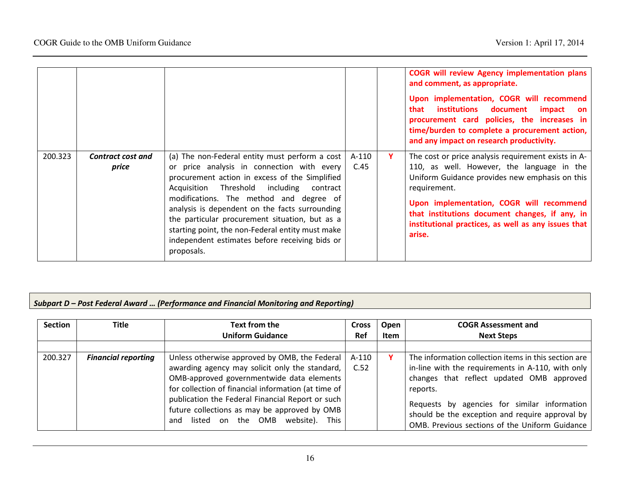|         |                            |                                                                                                                                                                                                                                                                                                                                                                                                                                                               |                 |    | <b>COGR will review Agency implementation plans</b><br>and comment, as appropriate.<br>Upon implementation, COGR will recommend<br>institutions document<br>that<br>impact<br><b>on</b><br>procurement card policies, the increases in<br>time/burden to complete a procurement action,<br>and any impact on research productivity. |
|---------|----------------------------|---------------------------------------------------------------------------------------------------------------------------------------------------------------------------------------------------------------------------------------------------------------------------------------------------------------------------------------------------------------------------------------------------------------------------------------------------------------|-----------------|----|-------------------------------------------------------------------------------------------------------------------------------------------------------------------------------------------------------------------------------------------------------------------------------------------------------------------------------------|
| 200.323 | Contract cost and<br>price | (a) The non-Federal entity must perform a cost<br>or price analysis in connection with every<br>procurement action in excess of the Simplified<br>Acquisition Threshold including contract<br>modifications. The method and degree of<br>analysis is dependent on the facts surrounding<br>the particular procurement situation, but as a<br>starting point, the non-Federal entity must make<br>independent estimates before receiving bids or<br>proposals. | $A-110$<br>C.45 | Y. | The cost or price analysis requirement exists in A-<br>110, as well. However, the language in the<br>Uniform Guidance provides new emphasis on this<br>requirement.<br>Upon implementation, COGR will recommend<br>that institutions document changes, if any, in<br>institutional practices, as well as any issues that<br>arise.  |

### Subpart D – Post Federal Award … (Performance and Financial Monitoring and Reporting)

| <b>Section</b> | <b>Title</b>               | Text from the                                                                                                                                     | <b>Cross</b> | Open | <b>COGR Assessment and</b>                                                                                                                        |
|----------------|----------------------------|---------------------------------------------------------------------------------------------------------------------------------------------------|--------------|------|---------------------------------------------------------------------------------------------------------------------------------------------------|
|                |                            | <b>Uniform Guidance</b>                                                                                                                           | <b>Ref</b>   | Item | <b>Next Steps</b>                                                                                                                                 |
|                |                            |                                                                                                                                                   |              |      |                                                                                                                                                   |
| 200.327        | <b>Financial reporting</b> | Unless otherwise approved by OMB, the Federal                                                                                                     | A-110        |      | The information collection items in this section are                                                                                              |
|                |                            | awarding agency may solicit only the standard,                                                                                                    | C.52         |      | in-line with the requirements in A-110, with only                                                                                                 |
|                |                            | OMB-approved governmentwide data elements                                                                                                         |              |      | changes that reflect updated OMB approved                                                                                                         |
|                |                            | for collection of financial information (at time of                                                                                               |              |      | reports.                                                                                                                                          |
|                |                            | publication the Federal Financial Report or such<br>future collections as may be approved by OMB<br>listed on the OMB<br>website).<br>This<br>and |              |      | Requests by agencies for similar information<br>should be the exception and require approval by<br>OMB. Previous sections of the Uniform Guidance |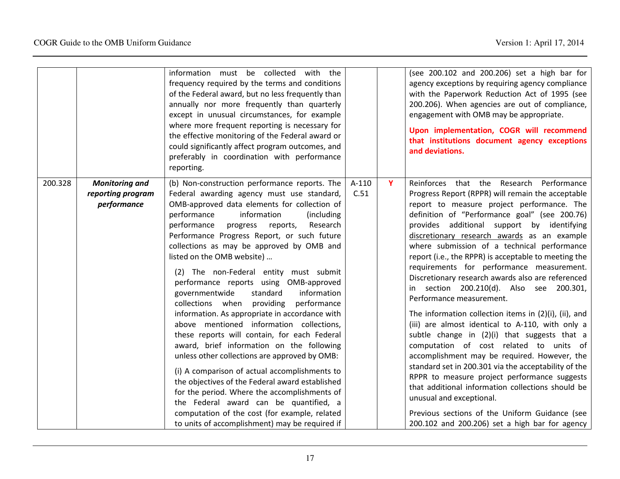|         |                                                           | information must be collected with the<br>frequency required by the terms and conditions<br>of the Federal award, but no less frequently than<br>annually nor more frequently than quarterly<br>except in unusual circumstances, for example<br>where more frequent reporting is necessary for<br>the effective monitoring of the Federal award or<br>could significantly affect program outcomes, and<br>preferably in coordination with performance<br>reporting.                                                                                                                                                                                                                                                                                                                                                                                                                                                                                                                                                                                                                           |                 |   | (see 200.102 and 200.206) set a high bar for<br>agency exceptions by requiring agency compliance<br>with the Paperwork Reduction Act of 1995 (see<br>200.206). When agencies are out of compliance,<br>engagement with OMB may be appropriate.<br>Upon implementation, COGR will recommend<br>that institutions document agency exceptions<br>and deviations.                                                                                                                                                                                                                                                                                                                                                                                                                                                                                                                                                                                                                                                                                                                                                                   |
|---------|-----------------------------------------------------------|-----------------------------------------------------------------------------------------------------------------------------------------------------------------------------------------------------------------------------------------------------------------------------------------------------------------------------------------------------------------------------------------------------------------------------------------------------------------------------------------------------------------------------------------------------------------------------------------------------------------------------------------------------------------------------------------------------------------------------------------------------------------------------------------------------------------------------------------------------------------------------------------------------------------------------------------------------------------------------------------------------------------------------------------------------------------------------------------------|-----------------|---|---------------------------------------------------------------------------------------------------------------------------------------------------------------------------------------------------------------------------------------------------------------------------------------------------------------------------------------------------------------------------------------------------------------------------------------------------------------------------------------------------------------------------------------------------------------------------------------------------------------------------------------------------------------------------------------------------------------------------------------------------------------------------------------------------------------------------------------------------------------------------------------------------------------------------------------------------------------------------------------------------------------------------------------------------------------------------------------------------------------------------------|
| 200.328 | <b>Monitoring and</b><br>reporting program<br>performance | (b) Non-construction performance reports. The<br>Federal awarding agency must use standard,<br>OMB-approved data elements for collection of<br>performance<br>information<br>(including)<br>performance<br>Research<br>progress reports,<br>Performance Progress Report, or such future<br>collections as may be approved by OMB and<br>listed on the OMB website)<br>(2) The non-Federal entity must submit<br>performance reports using OMB-approved<br>standard<br>information<br>governmentwide<br>collections when providing<br>performance<br>information. As appropriate in accordance with<br>above mentioned information collections,<br>these reports will contain, for each Federal<br>award, brief information on the following<br>unless other collections are approved by OMB:<br>(i) A comparison of actual accomplishments to<br>the objectives of the Federal award established<br>for the period. Where the accomplishments of<br>the Federal award can be quantified, a<br>computation of the cost (for example, related<br>to units of accomplishment) may be required if | $A-110$<br>C.51 | Y | Reinforces that the Research Performance<br>Progress Report (RPPR) will remain the acceptable<br>report to measure project performance. The<br>definition of "Performance goal" (see 200.76)<br>provides additional support by identifying<br>discretionary research awards as an example<br>where submission of a technical performance<br>report (i.e., the RPPR) is acceptable to meeting the<br>requirements for performance measurement.<br>Discretionary research awards also are referenced<br>in section 200.210(d). Also see 200.301,<br>Performance measurement.<br>The information collection items in (2)(i), (ii), and<br>(iii) are almost identical to A-110, with only a<br>subtle change in (2)(i) that suggests that a<br>computation of cost related to units of<br>accomplishment may be required. However, the<br>standard set in 200.301 via the acceptability of the<br>RPPR to measure project performance suggests<br>that additional information collections should be<br>unusual and exceptional.<br>Previous sections of the Uniform Guidance (see<br>200.102 and 200.206) set a high bar for agency |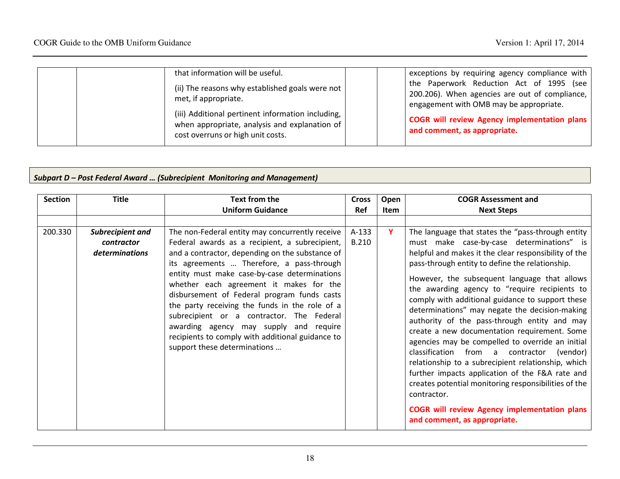| that information will be useful.<br>exceptions by requiring agency compliance with<br>the Paperwork Reduction Act of 1995 (see<br>(ii) The reasons why established goals were not<br>200.206). When agencies are out of compliance,<br>met, if appropriate.<br>engagement with OMB may be appropriate.<br>(iii) Additional pertinent information including,<br><b>COGR will review Agency implementation plans</b><br>when appropriate, analysis and explanation of<br>and comment, as appropriate.<br>cost overruns or high unit costs. |
|------------------------------------------------------------------------------------------------------------------------------------------------------------------------------------------------------------------------------------------------------------------------------------------------------------------------------------------------------------------------------------------------------------------------------------------------------------------------------------------------------------------------------------------|
|------------------------------------------------------------------------------------------------------------------------------------------------------------------------------------------------------------------------------------------------------------------------------------------------------------------------------------------------------------------------------------------------------------------------------------------------------------------------------------------------------------------------------------------|

#### Subpart D – Post Federal Award … (Subrecipient Monitoring and Management)

| <b>Section</b> | <b>Title</b>                                            | Text from the<br><b>Uniform Guidance</b>                                                                                                                                                                                                                                                                                                                                                                                                                                                                                                                                 | <b>Cross</b><br>Ref     | Open<br><b>Item</b> | <b>COGR Assessment and</b><br><b>Next Steps</b>                                                                                                                                                                                                                                                                                                                                                                                                                                                                                                                                                                                                                                                                                                                                                                                                                                          |
|----------------|---------------------------------------------------------|--------------------------------------------------------------------------------------------------------------------------------------------------------------------------------------------------------------------------------------------------------------------------------------------------------------------------------------------------------------------------------------------------------------------------------------------------------------------------------------------------------------------------------------------------------------------------|-------------------------|---------------------|------------------------------------------------------------------------------------------------------------------------------------------------------------------------------------------------------------------------------------------------------------------------------------------------------------------------------------------------------------------------------------------------------------------------------------------------------------------------------------------------------------------------------------------------------------------------------------------------------------------------------------------------------------------------------------------------------------------------------------------------------------------------------------------------------------------------------------------------------------------------------------------|
| 200.330        | Subrecipient and<br><i>contractor</i><br>determinations | The non-Federal entity may concurrently receive<br>Federal awards as a recipient, a subrecipient,<br>and a contractor, depending on the substance of<br>its agreements  Therefore, a pass-through<br>entity must make case-by-case determinations<br>whether each agreement it makes for the<br>disbursement of Federal program funds casts<br>the party receiving the funds in the role of a<br>subrecipient or a contractor. The Federal<br>awarding agency may supply and require<br>recipients to comply with additional guidance to<br>support these determinations | $A-133$<br><b>B.210</b> | Y.                  | The language that states the "pass-through entity<br>must make case-by-case determinations" is<br>helpful and makes it the clear responsibility of the<br>pass-through entity to define the relationship.<br>However, the subsequent language that allows<br>the awarding agency to "require recipients to<br>comply with additional guidance to support these<br>determinations" may negate the decision-making<br>authority of the pass-through entity and may<br>create a new documentation requirement. Some<br>agencies may be compelled to override an initial<br>classification from a contractor (vendor)<br>relationship to a subrecipient relationship, which<br>further impacts application of the F&A rate and<br>creates potential monitoring responsibilities of the<br>contractor.<br><b>COGR will review Agency implementation plans</b><br>and comment, as appropriate. |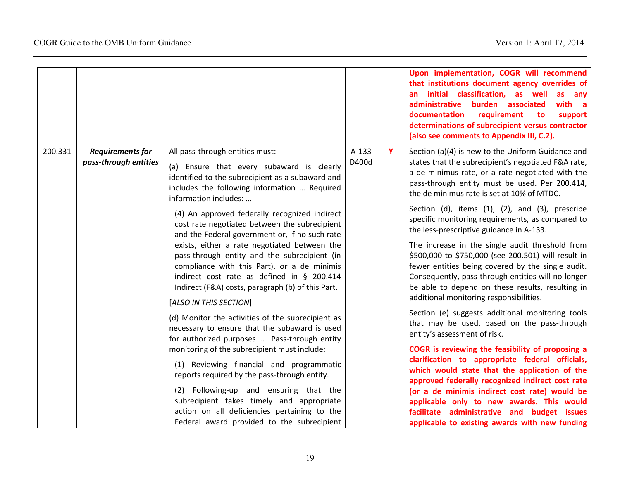|         |                                                  |                                                                                                                                                                                                                                                                                                                                                                                                                                                                                                                                                                                                                                                                                                                                                                                                                                                                                                                                                                                                                                                                                    |                  |   | Upon implementation, COGR will recommend<br>that institutions document agency overrides of<br>an initial classification, as well<br>as<br>any<br>administrative burden associated<br>with<br>a a<br>documentation<br>requirement<br>to<br>support<br>determinations of subrecipient versus contractor<br>(also see comments to Appendix III, C.2).                                                                                                                                                                                                                                                                                                                                                                                                                                                                                                                                                                                                                                                                                                                                                                                                                                                                              |
|---------|--------------------------------------------------|------------------------------------------------------------------------------------------------------------------------------------------------------------------------------------------------------------------------------------------------------------------------------------------------------------------------------------------------------------------------------------------------------------------------------------------------------------------------------------------------------------------------------------------------------------------------------------------------------------------------------------------------------------------------------------------------------------------------------------------------------------------------------------------------------------------------------------------------------------------------------------------------------------------------------------------------------------------------------------------------------------------------------------------------------------------------------------|------------------|---|---------------------------------------------------------------------------------------------------------------------------------------------------------------------------------------------------------------------------------------------------------------------------------------------------------------------------------------------------------------------------------------------------------------------------------------------------------------------------------------------------------------------------------------------------------------------------------------------------------------------------------------------------------------------------------------------------------------------------------------------------------------------------------------------------------------------------------------------------------------------------------------------------------------------------------------------------------------------------------------------------------------------------------------------------------------------------------------------------------------------------------------------------------------------------------------------------------------------------------|
| 200.331 | <b>Requirements for</b><br>pass-through entities | All pass-through entities must:<br>(a) Ensure that every subaward is clearly<br>identified to the subrecipient as a subaward and<br>includes the following information  Required<br>information includes:<br>(4) An approved federally recognized indirect<br>cost rate negotiated between the subrecipient<br>and the Federal government or, if no such rate<br>exists, either a rate negotiated between the<br>pass-through entity and the subrecipient (in<br>compliance with this Part), or a de minimis<br>indirect cost rate as defined in § 200.414<br>Indirect (F&A) costs, paragraph (b) of this Part.<br>[ALSO IN THIS SECTION]<br>(d) Monitor the activities of the subrecipient as<br>necessary to ensure that the subaward is used<br>for authorized purposes  Pass-through entity<br>monitoring of the subrecipient must include:<br>(1) Reviewing financial and programmatic<br>reports required by the pass-through entity.<br>(2) Following-up and ensuring that the<br>subrecipient takes timely and appropriate<br>action on all deficiencies pertaining to the | $A-133$<br>D400d | Y | Section (a)(4) is new to the Uniform Guidance and<br>states that the subrecipient's negotiated F&A rate,<br>a de minimus rate, or a rate negotiated with the<br>pass-through entity must be used. Per 200.414,<br>the de minimus rate is set at 10% of MTDC.<br>Section (d), items (1), (2), and (3), prescribe<br>specific monitoring requirements, as compared to<br>the less-prescriptive guidance in A-133.<br>The increase in the single audit threshold from<br>\$500,000 to \$750,000 (see 200.501) will result in<br>fewer entities being covered by the single audit.<br>Consequently, pass-through entities will no longer<br>be able to depend on these results, resulting in<br>additional monitoring responsibilities.<br>Section (e) suggests additional monitoring tools<br>that may be used, based on the pass-through<br>entity's assessment of risk.<br>COGR is reviewing the feasibility of proposing a<br>clarification to appropriate federal officials,<br>which would state that the application of the<br>approved federally recognized indirect cost rate<br>(or a de minimis indirect cost rate) would be<br>applicable only to new awards. This would<br>facilitate administrative and budget issues |
|         |                                                  | Federal award provided to the subrecipient                                                                                                                                                                                                                                                                                                                                                                                                                                                                                                                                                                                                                                                                                                                                                                                                                                                                                                                                                                                                                                         |                  |   | applicable to existing awards with new funding                                                                                                                                                                                                                                                                                                                                                                                                                                                                                                                                                                                                                                                                                                                                                                                                                                                                                                                                                                                                                                                                                                                                                                                  |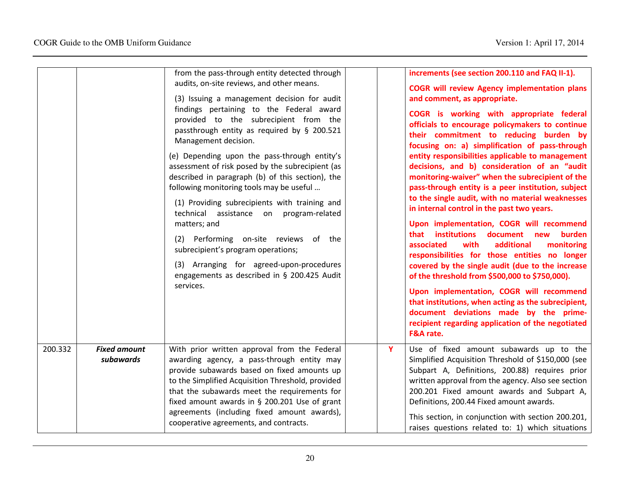|         |                                  | from the pass-through entity detected through<br>audits, on-site reviews, and other means.<br>(3) Issuing a management decision for audit<br>findings pertaining to the Federal award<br>provided to the subrecipient from the<br>passthrough entity as required by § 200.521<br>Management decision.<br>(e) Depending upon the pass-through entity's<br>assessment of risk posed by the subrecipient (as<br>described in paragraph (b) of this section), the<br>following monitoring tools may be useful<br>(1) Providing subrecipients with training and<br>technical assistance on program-related<br>matters; and<br>(2) Performing on-site reviews of the<br>subrecipient's program operations;<br>(3) Arranging for agreed-upon-procedures<br>engagements as described in § 200.425 Audit<br>services. |   | increments (see section 200.110 and FAQ II-1).<br><b>COGR will review Agency implementation plans</b><br>and comment, as appropriate.<br>COGR is working with appropriate federal<br>officials to encourage policymakers to continue<br>their commitment to reducing burden by<br>focusing on: a) simplification of pass-through<br>entity responsibilities applicable to management<br>decisions, and b) consideration of an "audit<br>monitoring-waiver" when the subrecipient of the<br>pass-through entity is a peer institution, subject<br>to the single audit, with no material weaknesses<br>in internal control in the past two years.<br>Upon implementation, COGR will recommend<br>that institutions<br>document new<br>burden<br>associated<br>with<br>additional<br>monitoring<br>responsibilities for those entities no longer<br>covered by the single audit (due to the increase<br>of the threshold from \$500,000 to \$750,000).<br>Upon implementation, COGR will recommend<br>that institutions, when acting as the subrecipient,<br>document deviations made by the prime-<br>recipient regarding application of the negotiated<br>F&A rate. |
|---------|----------------------------------|--------------------------------------------------------------------------------------------------------------------------------------------------------------------------------------------------------------------------------------------------------------------------------------------------------------------------------------------------------------------------------------------------------------------------------------------------------------------------------------------------------------------------------------------------------------------------------------------------------------------------------------------------------------------------------------------------------------------------------------------------------------------------------------------------------------|---|--------------------------------------------------------------------------------------------------------------------------------------------------------------------------------------------------------------------------------------------------------------------------------------------------------------------------------------------------------------------------------------------------------------------------------------------------------------------------------------------------------------------------------------------------------------------------------------------------------------------------------------------------------------------------------------------------------------------------------------------------------------------------------------------------------------------------------------------------------------------------------------------------------------------------------------------------------------------------------------------------------------------------------------------------------------------------------------------------------------------------------------------------------------------|
| 200.332 | <b>Fixed amount</b><br>subawards | With prior written approval from the Federal<br>awarding agency, a pass-through entity may<br>provide subawards based on fixed amounts up<br>to the Simplified Acquisition Threshold, provided<br>that the subawards meet the requirements for<br>fixed amount awards in § 200.201 Use of grant<br>agreements (including fixed amount awards),<br>cooperative agreements, and contracts.                                                                                                                                                                                                                                                                                                                                                                                                                     | Y | Use of fixed amount subawards up to the<br>Simplified Acquisition Threshold of \$150,000 (see<br>Subpart A, Definitions, 200.88) requires prior<br>written approval from the agency. Also see section<br>200.201 Fixed amount awards and Subpart A,<br>Definitions, 200.44 Fixed amount awards.<br>This section, in conjunction with section 200.201,<br>raises questions related to: 1) which situations                                                                                                                                                                                                                                                                                                                                                                                                                                                                                                                                                                                                                                                                                                                                                          |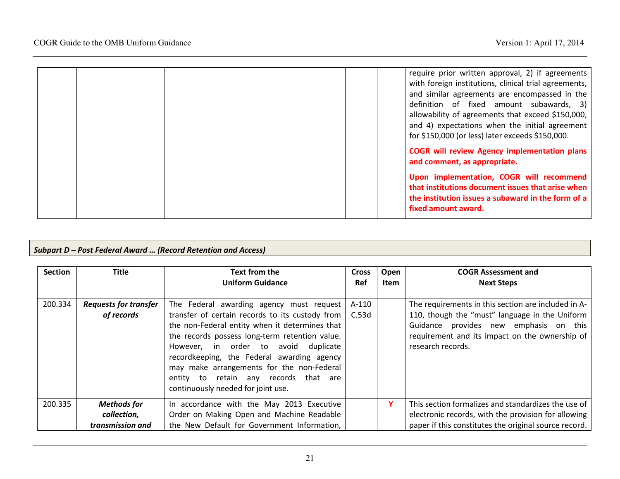|  |  | require prior written approval, 2) if agreements<br>with foreign institutions, clinical trial agreements,<br>and similar agreements are encompassed in the<br>definition of fixed amount subawards, 3)<br>allowability of agreements that exceed \$150,000,<br>and 4) expectations when the initial agreement<br>for \$150,000 (or less) later exceeds \$150,000. |
|--|--|-------------------------------------------------------------------------------------------------------------------------------------------------------------------------------------------------------------------------------------------------------------------------------------------------------------------------------------------------------------------|
|  |  | <b>COGR will review Agency implementation plans</b><br>and comment, as appropriate.                                                                                                                                                                                                                                                                               |
|  |  | Upon implementation, COGR will recommend<br>that institutions document issues that arise when<br>the institution issues a subaward in the form of a<br>fixed amount award.                                                                                                                                                                                        |

#### Subpart D – Post Federal Award … (Record Retention and Access)

| <b>Section</b> | <b>Title</b>                 | Text from the                                   | Cross      | Open | <b>COGR Assessment and</b>                            |
|----------------|------------------------------|-------------------------------------------------|------------|------|-------------------------------------------------------|
|                |                              | <b>Uniform Guidance</b>                         | <b>Ref</b> | Item | <b>Next Steps</b>                                     |
|                |                              |                                                 |            |      |                                                       |
| 200.334        | <b>Requests for transfer</b> | The Federal awarding agency must request        | A-110      |      | The requirements in this section are included in A-   |
|                | of records                   | transfer of certain records to its custody from | C.53d      |      | 110, though the "must" language in the Uniform        |
|                |                              | the non-Federal entity when it determines that  |            |      | Guidance provides new emphasis on this                |
|                |                              | the records possess long-term retention value.  |            |      | requirement and its impact on the ownership of        |
|                |                              | However, in order to avoid duplicate            |            |      | research records.                                     |
|                |                              | recordkeeping, the Federal awarding agency      |            |      |                                                       |
|                |                              | may make arrangements for the non-Federal       |            |      |                                                       |
|                |                              | entity to retain any records that are           |            |      |                                                       |
|                |                              | continuously needed for joint use.              |            |      |                                                       |
|                |                              |                                                 |            |      |                                                       |
| 200.335        | <b>Methods</b> for           | In accordance with the May 2013 Executive       |            | Y    | This section formalizes and standardizes the use of   |
|                | collection,                  | Order on Making Open and Machine Readable       |            |      | electronic records, with the provision for allowing   |
|                | transmission and             | the New Default for Government Information,     |            |      | paper if this constitutes the original source record. |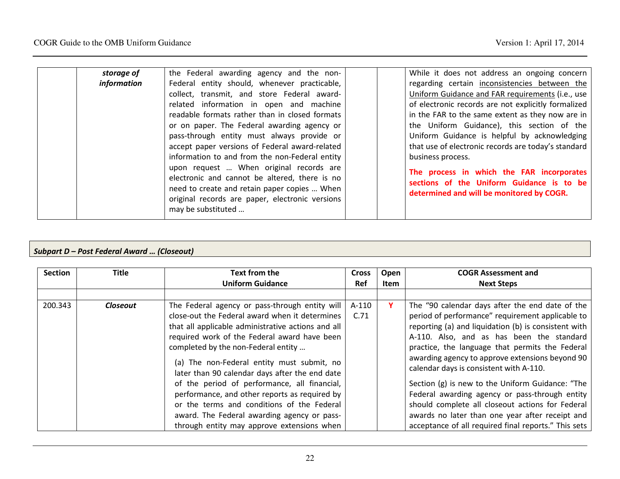| information<br>Federal entity should, whenever practicable,<br>regarding certain inconsistencies between the<br>Uniform Guidance and FAR requirements (i.e., use<br>collect, transmit, and store Federal award-<br>of electronic records are not explicitly formalized<br>related information in open and machine |  |
|-------------------------------------------------------------------------------------------------------------------------------------------------------------------------------------------------------------------------------------------------------------------------------------------------------------------|--|
|                                                                                                                                                                                                                                                                                                                   |  |
|                                                                                                                                                                                                                                                                                                                   |  |
|                                                                                                                                                                                                                                                                                                                   |  |
| readable formats rather than in closed formats<br>in the FAR to the same extent as they now are in                                                                                                                                                                                                                |  |
| the Uniform Guidance), this section of the<br>or on paper. The Federal awarding agency or                                                                                                                                                                                                                         |  |
| Uniform Guidance is helpful by acknowledging<br>pass-through entity must always provide or                                                                                                                                                                                                                        |  |
| that use of electronic records are today's standard<br>accept paper versions of Federal award-related                                                                                                                                                                                                             |  |
| information to and from the non-Federal entity<br>business process.                                                                                                                                                                                                                                               |  |
| upon request  When original records are<br>The process in which the FAR incorporates                                                                                                                                                                                                                              |  |
| electronic and cannot be altered, there is no<br>sections of the Uniform Guidance is to be                                                                                                                                                                                                                        |  |
| need to create and retain paper copies  When<br>determined and will be monitored by COGR.                                                                                                                                                                                                                         |  |
| original records are paper, electronic versions                                                                                                                                                                                                                                                                   |  |
| may be substituted                                                                                                                                                                                                                                                                                                |  |

### Subpart D – Post Federal Award … (Closeout)

| <b>Section</b> | <b>Title</b>    | Text from the                                                                                                                                                                                                                                                                                                                                                                                                                                                                                                                                                                             | Cross         | Open | <b>COGR Assessment and</b>                                                                                                                                                                                                                                                                                                                                                                                                                                                                                                                                                                                                     |
|----------------|-----------------|-------------------------------------------------------------------------------------------------------------------------------------------------------------------------------------------------------------------------------------------------------------------------------------------------------------------------------------------------------------------------------------------------------------------------------------------------------------------------------------------------------------------------------------------------------------------------------------------|---------------|------|--------------------------------------------------------------------------------------------------------------------------------------------------------------------------------------------------------------------------------------------------------------------------------------------------------------------------------------------------------------------------------------------------------------------------------------------------------------------------------------------------------------------------------------------------------------------------------------------------------------------------------|
|                |                 | <b>Uniform Guidance</b>                                                                                                                                                                                                                                                                                                                                                                                                                                                                                                                                                                   | <b>Ref</b>    | Item | <b>Next Steps</b>                                                                                                                                                                                                                                                                                                                                                                                                                                                                                                                                                                                                              |
|                |                 |                                                                                                                                                                                                                                                                                                                                                                                                                                                                                                                                                                                           |               |      |                                                                                                                                                                                                                                                                                                                                                                                                                                                                                                                                                                                                                                |
| 200.343        | <b>Closeout</b> | The Federal agency or pass-through entity will<br>close-out the Federal award when it determines<br>that all applicable administrative actions and all<br>required work of the Federal award have been<br>completed by the non-Federal entity<br>(a) The non-Federal entity must submit, no<br>later than 90 calendar days after the end date<br>of the period of performance, all financial,<br>performance, and other reports as required by<br>or the terms and conditions of the Federal<br>award. The Federal awarding agency or pass-<br>through entity may approve extensions when | A-110<br>C.71 | Υ    | The "90 calendar days after the end date of the<br>period of performance" requirement applicable to<br>reporting (a) and liquidation (b) is consistent with<br>A-110. Also, and as has been the standard<br>practice, the language that permits the Federal<br>awarding agency to approve extensions beyond 90<br>calendar days is consistent with A-110.<br>Section (g) is new to the Uniform Guidance: "The<br>Federal awarding agency or pass-through entity<br>should complete all closeout actions for Federal<br>awards no later than one year after receipt and<br>acceptance of all required final reports." This sets |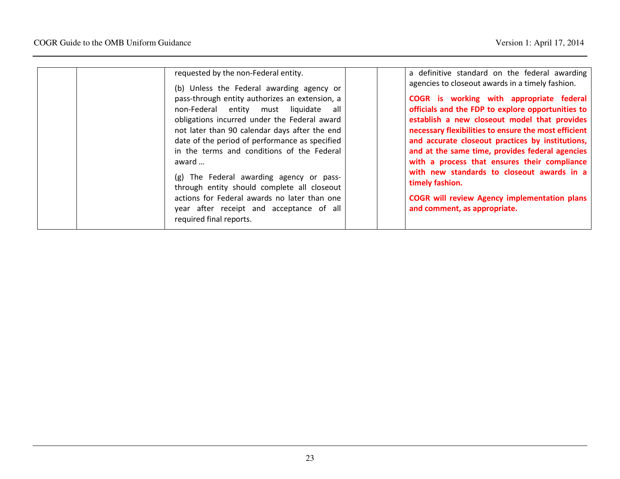| requested by the non-Federal entity.<br>(b) Unless the Federal awarding agency or<br>pass-through entity authorizes an extension, a<br>non-Federal entity must liquidate all<br>obligations incurred under the Federal award<br>not later than 90 calendar days after the end<br>date of the period of performance as specified<br>in the terms and conditions of the Federal<br>award<br>(g) The Federal awarding agency or pass-<br>through entity should complete all closeout<br>actions for Federal awards no later than one<br>year after receipt and acceptance of all<br>required final reports. | a definitive standard on the federal awarding<br>agencies to closeout awards in a timely fashion.<br>COGR is working with appropriate federal<br>officials and the FDP to explore opportunities to<br>establish a new closeout model that provides<br>necessary flexibilities to ensure the most efficient<br>and accurate closeout practices by institutions,<br>and at the same time, provides federal agencies<br>with a process that ensures their compliance<br>with new standards to closeout awards in a<br>timely fashion.<br><b>COGR will review Agency implementation plans</b><br>and comment, as appropriate. |
|----------------------------------------------------------------------------------------------------------------------------------------------------------------------------------------------------------------------------------------------------------------------------------------------------------------------------------------------------------------------------------------------------------------------------------------------------------------------------------------------------------------------------------------------------------------------------------------------------------|---------------------------------------------------------------------------------------------------------------------------------------------------------------------------------------------------------------------------------------------------------------------------------------------------------------------------------------------------------------------------------------------------------------------------------------------------------------------------------------------------------------------------------------------------------------------------------------------------------------------------|
|----------------------------------------------------------------------------------------------------------------------------------------------------------------------------------------------------------------------------------------------------------------------------------------------------------------------------------------------------------------------------------------------------------------------------------------------------------------------------------------------------------------------------------------------------------------------------------------------------------|---------------------------------------------------------------------------------------------------------------------------------------------------------------------------------------------------------------------------------------------------------------------------------------------------------------------------------------------------------------------------------------------------------------------------------------------------------------------------------------------------------------------------------------------------------------------------------------------------------------------------|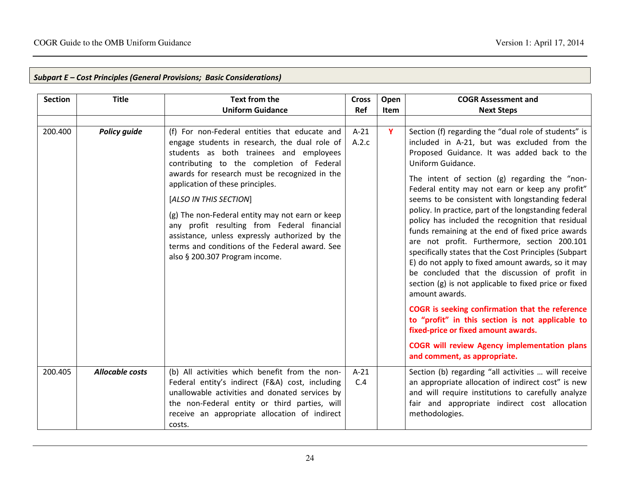| <b>Section</b> | <b>Title</b>           | <b>Text from the</b><br><b>Uniform Guidance</b>                                                                                                                                                                                                                                                                                                                                                                                                                                                                                               | <b>Cross</b><br>Ref | Open<br><b>Item</b> | <b>COGR Assessment and</b><br><b>Next Steps</b>                                                                                                                                                                                                                                                                                                                                                                                                                                                                                                                                                                                                                                                                                                                                                                                                                                                                                                                                                                                  |
|----------------|------------------------|-----------------------------------------------------------------------------------------------------------------------------------------------------------------------------------------------------------------------------------------------------------------------------------------------------------------------------------------------------------------------------------------------------------------------------------------------------------------------------------------------------------------------------------------------|---------------------|---------------------|----------------------------------------------------------------------------------------------------------------------------------------------------------------------------------------------------------------------------------------------------------------------------------------------------------------------------------------------------------------------------------------------------------------------------------------------------------------------------------------------------------------------------------------------------------------------------------------------------------------------------------------------------------------------------------------------------------------------------------------------------------------------------------------------------------------------------------------------------------------------------------------------------------------------------------------------------------------------------------------------------------------------------------|
| 200.400        | <b>Policy guide</b>    | (f) For non-Federal entities that educate and<br>engage students in research, the dual role of<br>students as both trainees and employees<br>contributing to the completion of Federal<br>awards for research must be recognized in the<br>application of these principles.<br>[ALSO IN THIS SECTION]<br>(g) The non-Federal entity may not earn or keep<br>any profit resulting from Federal financial<br>assistance, unless expressly authorized by the<br>terms and conditions of the Federal award. See<br>also § 200.307 Program income. | $A-21$<br>A.2.c     | Y                   | Section (f) regarding the "dual role of students" is<br>included in A-21, but was excluded from the<br>Proposed Guidance. It was added back to the<br>Uniform Guidance.<br>The intent of section (g) regarding the "non-<br>Federal entity may not earn or keep any profit"<br>seems to be consistent with longstanding federal<br>policy. In practice, part of the longstanding federal<br>policy has included the recognition that residual<br>funds remaining at the end of fixed price awards<br>are not profit. Furthermore, section 200.101<br>specifically states that the Cost Principles (Subpart<br>E) do not apply to fixed amount awards, so it may<br>be concluded that the discussion of profit in<br>section (g) is not applicable to fixed price or fixed<br>amount awards.<br>COGR is seeking confirmation that the reference<br>to "profit" in this section is not applicable to<br>fixed-price or fixed amount awards.<br><b>COGR will review Agency implementation plans</b><br>and comment, as appropriate. |
| 200.405        | <b>Allocable costs</b> | (b) All activities which benefit from the non-<br>Federal entity's indirect (F&A) cost, including<br>unallowable activities and donated services by<br>the non-Federal entity or third parties, will<br>receive an appropriate allocation of indirect<br>costs.                                                                                                                                                                                                                                                                               | $A-21$<br>C.4       |                     | Section (b) regarding "all activities  will receive<br>an appropriate allocation of indirect cost" is new<br>and will require institutions to carefully analyze<br>fair and appropriate indirect cost allocation<br>methodologies.                                                                                                                                                                                                                                                                                                                                                                                                                                                                                                                                                                                                                                                                                                                                                                                               |

# Subpart E – Cost Principles (General Provisions; Basic Considerations)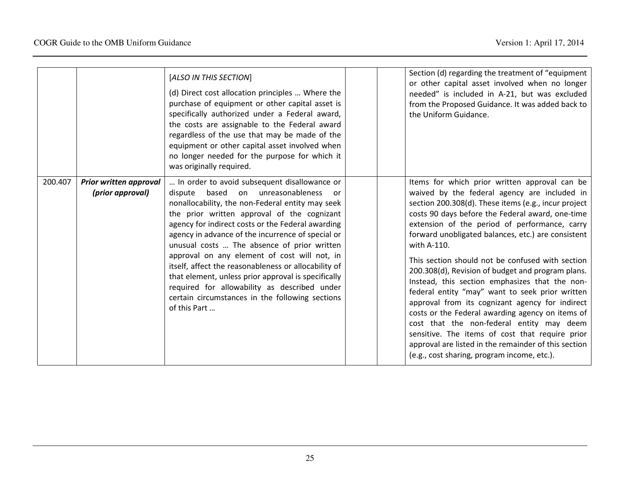|         |                                            | [ALSO IN THIS SECTION]<br>(d) Direct cost allocation principles  Where the<br>purchase of equipment or other capital asset is<br>specifically authorized under a Federal award,<br>the costs are assignable to the Federal award<br>regardless of the use that may be made of the<br>equipment or other capital asset involved when<br>no longer needed for the purpose for which it<br>was originally required.                                                                                                                                                                                                                          |  | Section (d) regarding the treatment of "equipment<br>or other capital asset involved when no longer<br>needed" is included in A-21, but was excluded<br>from the Proposed Guidance. It was added back to<br>the Uniform Guidance.                                                                                                                                                                                                                                                                                                                                                                                                                                                                                                                                                                                                                           |
|---------|--------------------------------------------|-------------------------------------------------------------------------------------------------------------------------------------------------------------------------------------------------------------------------------------------------------------------------------------------------------------------------------------------------------------------------------------------------------------------------------------------------------------------------------------------------------------------------------------------------------------------------------------------------------------------------------------------|--|-------------------------------------------------------------------------------------------------------------------------------------------------------------------------------------------------------------------------------------------------------------------------------------------------------------------------------------------------------------------------------------------------------------------------------------------------------------------------------------------------------------------------------------------------------------------------------------------------------------------------------------------------------------------------------------------------------------------------------------------------------------------------------------------------------------------------------------------------------------|
| 200.407 | Prior written approval<br>(prior approval) | In order to avoid subsequent disallowance or<br>based on unreasonableness<br>dispute<br>or.<br>nonallocability, the non-Federal entity may seek<br>the prior written approval of the cognizant<br>agency for indirect costs or the Federal awarding<br>agency in advance of the incurrence of special or<br>unusual costs  The absence of prior written<br>approval on any element of cost will not, in<br>itself, affect the reasonableness or allocability of<br>that element, unless prior approval is specifically<br>required for allowability as described under<br>certain circumstances in the following sections<br>of this Part |  | Items for which prior written approval can be<br>waived by the federal agency are included in<br>section 200.308(d). These items (e.g., incur project<br>costs 90 days before the Federal award, one-time<br>extension of the period of performance, carry<br>forward unobligated balances, etc.) are consistent<br>with A-110.<br>This section should not be confused with section<br>200.308(d), Revision of budget and program plans.<br>Instead, this section emphasizes that the non-<br>federal entity "may" want to seek prior written<br>approval from its cognizant agency for indirect<br>costs or the Federal awarding agency on items of<br>cost that the non-federal entity may deem<br>sensitive. The items of cost that require prior<br>approval are listed in the remainder of this section<br>(e.g., cost sharing, program income, etc.). |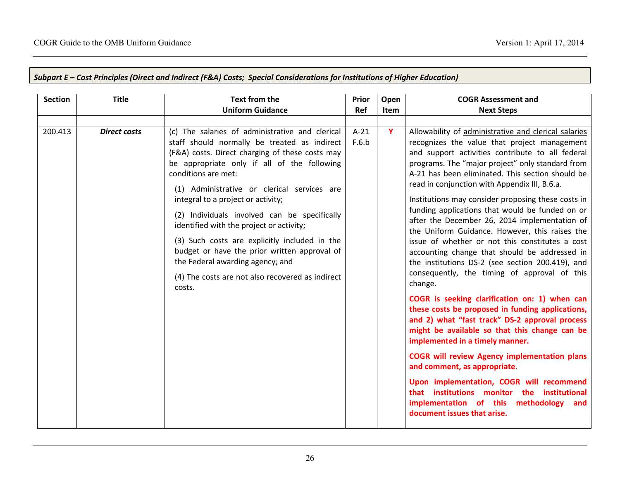| <b>Section</b> | <b>Title</b>        | Text from the                                                                                                                                                                                                                                                                                                                                                                                                                                                                                                                                                                                                | Prior           | Open        | <b>COGR Assessment and</b>                                                                                                                                                                                                                                                                                                                                                                                                                                                                                                                                                                                                                                                                                                                                                                                                                                                                                                                                                                                                                                                         |
|----------------|---------------------|--------------------------------------------------------------------------------------------------------------------------------------------------------------------------------------------------------------------------------------------------------------------------------------------------------------------------------------------------------------------------------------------------------------------------------------------------------------------------------------------------------------------------------------------------------------------------------------------------------------|-----------------|-------------|------------------------------------------------------------------------------------------------------------------------------------------------------------------------------------------------------------------------------------------------------------------------------------------------------------------------------------------------------------------------------------------------------------------------------------------------------------------------------------------------------------------------------------------------------------------------------------------------------------------------------------------------------------------------------------------------------------------------------------------------------------------------------------------------------------------------------------------------------------------------------------------------------------------------------------------------------------------------------------------------------------------------------------------------------------------------------------|
|                |                     | <b>Uniform Guidance</b>                                                                                                                                                                                                                                                                                                                                                                                                                                                                                                                                                                                      | <b>Ref</b>      | <b>Item</b> | <b>Next Steps</b>                                                                                                                                                                                                                                                                                                                                                                                                                                                                                                                                                                                                                                                                                                                                                                                                                                                                                                                                                                                                                                                                  |
|                |                     |                                                                                                                                                                                                                                                                                                                                                                                                                                                                                                                                                                                                              |                 |             |                                                                                                                                                                                                                                                                                                                                                                                                                                                                                                                                                                                                                                                                                                                                                                                                                                                                                                                                                                                                                                                                                    |
| 200.413        | <b>Direct costs</b> | (c) The salaries of administrative and clerical<br>staff should normally be treated as indirect<br>(F&A) costs. Direct charging of these costs may<br>be appropriate only if all of the following<br>conditions are met:<br>(1) Administrative or clerical services are<br>integral to a project or activity;<br>(2) Individuals involved can be specifically<br>identified with the project or activity;<br>(3) Such costs are explicitly included in the<br>budget or have the prior written approval of<br>the Federal awarding agency; and<br>(4) The costs are not also recovered as indirect<br>costs. | $A-21$<br>F.6.b | Y           | Allowability of administrative and clerical salaries<br>recognizes the value that project management<br>and support activities contribute to all federal<br>programs. The "major project" only standard from<br>A-21 has been eliminated. This section should be<br>read in conjunction with Appendix III, B.6.a.<br>Institutions may consider proposing these costs in<br>funding applications that would be funded on or<br>after the December 26, 2014 implementation of<br>the Uniform Guidance. However, this raises the<br>issue of whether or not this constitutes a cost<br>accounting change that should be addressed in<br>the institutions DS-2 (see section 200.419), and<br>consequently, the timing of approval of this<br>change.<br>COGR is seeking clarification on: 1) when can<br>these costs be proposed in funding applications,<br>and 2) what "fast track" DS-2 approval process<br>might be available so that this change can be<br>implemented in a timely manner.<br><b>COGR will review Agency implementation plans</b><br>and comment, as appropriate. |
|                |                     |                                                                                                                                                                                                                                                                                                                                                                                                                                                                                                                                                                                                              |                 |             | Upon implementation, COGR will recommend<br>that institutions monitor the institutional<br>implementation of this methodology<br>and<br>document issues that arise.                                                                                                                                                                                                                                                                                                                                                                                                                                                                                                                                                                                                                                                                                                                                                                                                                                                                                                                |

## Subpart E – Cost Principles (Direct and Indirect (F&A) Costs; Special Considerations for Institutions of Higher Education)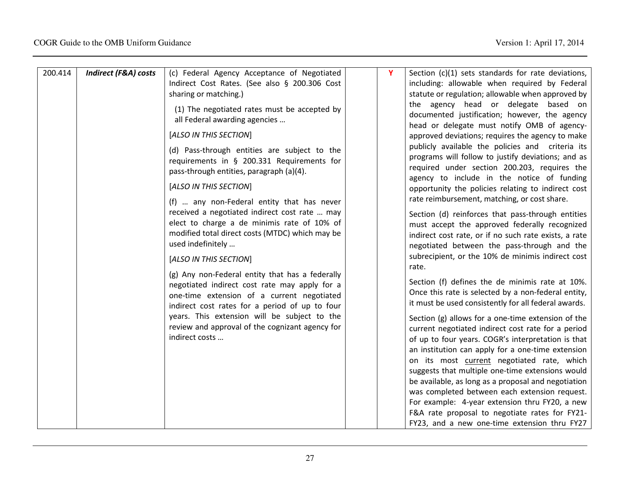| 200.414 | <b>Indirect (F&amp;A) costs</b> | (c) Federal Agency Acceptance of Negotiated<br>Indirect Cost Rates. (See also § 200.306 Cost<br>sharing or matching.)<br>(1) The negotiated rates must be accepted by<br>all Federal awarding agencies<br>[ALSO IN THIS SECTION]<br>(d) Pass-through entities are subject to the<br>requirements in § 200.331 Requirements for<br>pass-through entities, paragraph (a)(4).<br>[ALSO IN THIS SECTION]<br>(f)  any non-Federal entity that has never<br>received a negotiated indirect cost rate  may<br>elect to charge a de minimis rate of 10% of<br>modified total direct costs (MTDC) which may be<br>used indefinitely<br>[ALSO IN THIS SECTION]<br>(g) Any non-Federal entity that has a federally<br>negotiated indirect cost rate may apply for a<br>one-time extension of a current negotiated<br>indirect cost rates for a period of up to four<br>years. This extension will be subject to the<br>review and approval of the cognizant agency for<br>indirect costs | Y | Section (c)(1) sets standards for rate deviations,<br>including: allowable when required by Federal<br>statute or regulation; allowable when approved by<br>the agency head or delegate based on<br>documented justification; however, the agency<br>head or delegate must notify OMB of agency-<br>approved deviations; requires the agency to make<br>publicly available the policies and criteria its<br>programs will follow to justify deviations; and as<br>required under section 200.203, requires the<br>agency to include in the notice of funding<br>opportunity the policies relating to indirect cost<br>rate reimbursement, matching, or cost share.<br>Section (d) reinforces that pass-through entities<br>must accept the approved federally recognized<br>indirect cost rate, or if no such rate exists, a rate<br>negotiated between the pass-through and the<br>subrecipient, or the 10% de minimis indirect cost<br>rate.<br>Section (f) defines the de minimis rate at 10%.<br>Once this rate is selected by a non-federal entity,<br>it must be used consistently for all federal awards.<br>Section (g) allows for a one-time extension of the<br>current negotiated indirect cost rate for a period<br>of up to four years. COGR's interpretation is that<br>an institution can apply for a one-time extension<br>on its most current negotiated rate, which<br>suggests that multiple one-time extensions would<br>be available, as long as a proposal and negotiation |
|---------|---------------------------------|-------------------------------------------------------------------------------------------------------------------------------------------------------------------------------------------------------------------------------------------------------------------------------------------------------------------------------------------------------------------------------------------------------------------------------------------------------------------------------------------------------------------------------------------------------------------------------------------------------------------------------------------------------------------------------------------------------------------------------------------------------------------------------------------------------------------------------------------------------------------------------------------------------------------------------------------------------------------------------|---|--------------------------------------------------------------------------------------------------------------------------------------------------------------------------------------------------------------------------------------------------------------------------------------------------------------------------------------------------------------------------------------------------------------------------------------------------------------------------------------------------------------------------------------------------------------------------------------------------------------------------------------------------------------------------------------------------------------------------------------------------------------------------------------------------------------------------------------------------------------------------------------------------------------------------------------------------------------------------------------------------------------------------------------------------------------------------------------------------------------------------------------------------------------------------------------------------------------------------------------------------------------------------------------------------------------------------------------------------------------------------------------------------------------------------------------------------------------------------------------------------|
|         |                                 |                                                                                                                                                                                                                                                                                                                                                                                                                                                                                                                                                                                                                                                                                                                                                                                                                                                                                                                                                                               |   | was completed between each extension request.<br>For example: 4-year extension thru FY20, a new<br>F&A rate proposal to negotiate rates for FY21-<br>FY23, and a new one-time extension thru FY27                                                                                                                                                                                                                                                                                                                                                                                                                                                                                                                                                                                                                                                                                                                                                                                                                                                                                                                                                                                                                                                                                                                                                                                                                                                                                                |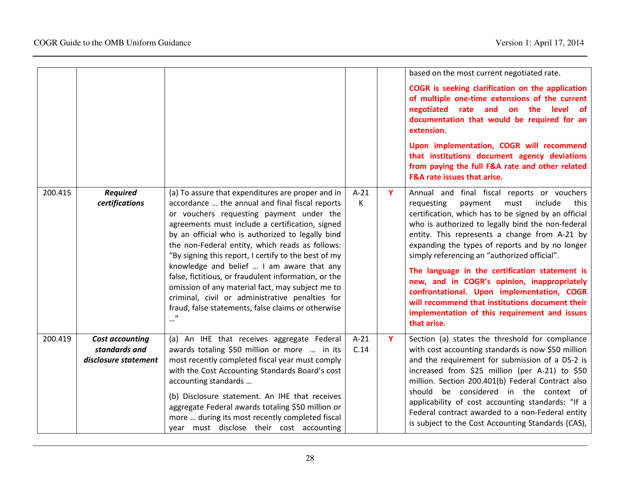|         |                                                                 |                                                                                                                                                                                                                                                                                                                                                                                                                                                                                                                                                                                                                                      |                |   | based on the most current negotiated rate.<br>COGR is seeking clarification on the application<br>of multiple one-time extensions of the current<br>negotiated rate and on the level of<br>documentation that would be required for an<br>extension.<br>Upon implementation, COGR will recommend<br>that institutions document agency deviations<br>from paying the full F&A rate and other related<br>F&A rate issues that arise.                                                                                                                                                                                                 |
|---------|-----------------------------------------------------------------|--------------------------------------------------------------------------------------------------------------------------------------------------------------------------------------------------------------------------------------------------------------------------------------------------------------------------------------------------------------------------------------------------------------------------------------------------------------------------------------------------------------------------------------------------------------------------------------------------------------------------------------|----------------|---|------------------------------------------------------------------------------------------------------------------------------------------------------------------------------------------------------------------------------------------------------------------------------------------------------------------------------------------------------------------------------------------------------------------------------------------------------------------------------------------------------------------------------------------------------------------------------------------------------------------------------------|
| 200.415 | <b>Required</b><br>certifications                               | (a) To assure that expenditures are proper and in<br>accordance  the annual and final fiscal reports<br>or vouchers requesting payment under the<br>agreements must include a certification, signed<br>by an official who is authorized to legally bind<br>the non-Federal entity, which reads as follows:<br>"By signing this report, I certify to the best of my<br>knowledge and belief  I am aware that any<br>false, fictitious, or fraudulent information, or the<br>omission of any material fact, may subject me to<br>criminal, civil or administrative penalties for<br>fraud, false statements, false claims or otherwise | $A-21$<br>К    | Y | Annual and final fiscal reports or vouchers<br>must<br>include<br>requesting<br>payment<br>this<br>certification, which has to be signed by an official<br>who is authorized to legally bind the non-federal<br>entity. This represents a change from A-21 by<br>expanding the types of reports and by no longer<br>simply referencing an "authorized official".<br>The language in the certification statement is<br>new, and in COGR's opinion, inappropriately<br>confrontational. Upon implementation, COGR<br>will recommend that institutions document their<br>implementation of this requirement and issues<br>that arise. |
| 200.419 | <b>Cost accounting</b><br>standards and<br>disclosure statement | (a) An IHE that receives aggregate Federal<br>awards totaling \$50 million or more  in its<br>most recently completed fiscal year must comply<br>with the Cost Accounting Standards Board's cost<br>accounting standards<br>(b) Disclosure statement. An IHE that receives<br>aggregate Federal awards totaling \$50 million or<br>more  during its most recently completed fiscal<br>year must disclose their cost accounting                                                                                                                                                                                                       | $A-21$<br>C.14 | Y | Section (a) states the threshold for compliance<br>with cost accounting standards is now \$50 million<br>and the requirement for submission of a DS-2 is<br>increased from \$25 million (per A-21) to \$50<br>million. Section 200.401(b) Federal Contract also<br>should be considered in the context of<br>applicability of cost accounting standards: "If a<br>Federal contract awarded to a non-Federal entity<br>is subject to the Cost Accounting Standards (CAS),                                                                                                                                                           |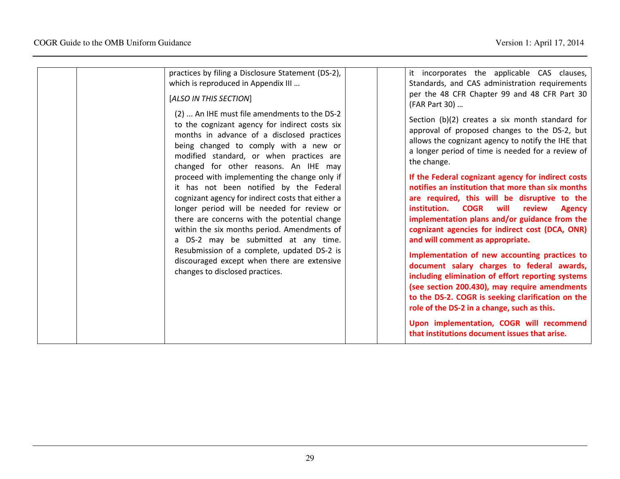| practices by filing a Disclosure Statement (DS-2),<br>which is reproduced in Appendix III<br>[ALSO IN THIS SECTION]<br>(2)  An IHE must file amendments to the DS-2<br>to the cognizant agency for indirect costs six<br>months in advance of a disclosed practices<br>being changed to comply with a new or<br>modified standard, or when practices are<br>changed for other reasons. An IHE may<br>proceed with implementing the change only if<br>it has not been notified by the Federal<br>cognizant agency for indirect costs that either a<br>longer period will be needed for review or<br>there are concerns with the potential change<br>within the six months period. Amendments of<br>a DS-2 may be submitted at any time.<br>Resubmission of a complete, updated DS-2 is<br>discouraged except when there are extensive<br>changes to disclosed practices. | it incorporates the applicable CAS clauses,<br>Standards, and CAS administration requirements<br>per the 48 CFR Chapter 99 and 48 CFR Part 30<br>(FAR Part 30)<br>Section (b)(2) creates a six month standard for<br>approval of proposed changes to the DS-2, but<br>allows the cognizant agency to notify the IHE that<br>a longer period of time is needed for a review of<br>the change.<br>If the Federal cognizant agency for indirect costs<br>notifies an institution that more than six months<br>are required, this will be disruptive to the<br>institution. COGR<br>will<br>review<br><b>Agency</b><br>implementation plans and/or guidance from the<br>cognizant agencies for indirect cost (DCA, ONR)<br>and will comment as appropriate.<br>Implementation of new accounting practices to<br>document salary charges to federal awards,<br>including elimination of effort reporting systems<br>(see section 200.430), may require amendments<br>to the DS-2. COGR is seeking clarification on the<br>role of the DS-2 in a change, such as this. |
|-------------------------------------------------------------------------------------------------------------------------------------------------------------------------------------------------------------------------------------------------------------------------------------------------------------------------------------------------------------------------------------------------------------------------------------------------------------------------------------------------------------------------------------------------------------------------------------------------------------------------------------------------------------------------------------------------------------------------------------------------------------------------------------------------------------------------------------------------------------------------|------------------------------------------------------------------------------------------------------------------------------------------------------------------------------------------------------------------------------------------------------------------------------------------------------------------------------------------------------------------------------------------------------------------------------------------------------------------------------------------------------------------------------------------------------------------------------------------------------------------------------------------------------------------------------------------------------------------------------------------------------------------------------------------------------------------------------------------------------------------------------------------------------------------------------------------------------------------------------------------------------------------------------------------------------------------|
|                                                                                                                                                                                                                                                                                                                                                                                                                                                                                                                                                                                                                                                                                                                                                                                                                                                                         | Upon implementation, COGR will recommend<br>that institutions document issues that arise.                                                                                                                                                                                                                                                                                                                                                                                                                                                                                                                                                                                                                                                                                                                                                                                                                                                                                                                                                                        |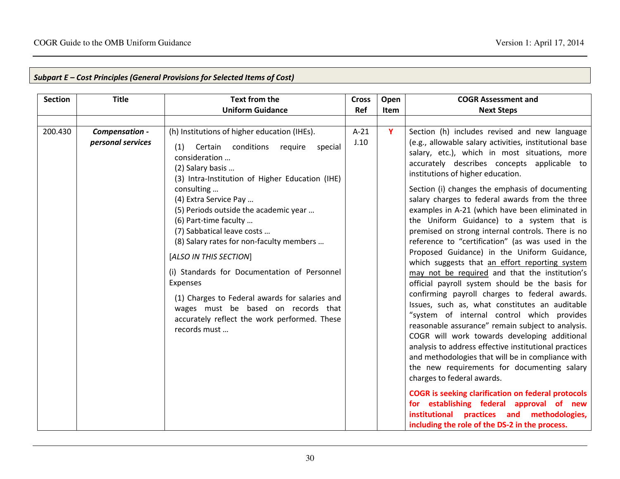| <b>Section</b> | <b>Title</b>                        | <b>Text from the</b>                                                                                                                                                                                                                                                                                                                                                                                                                                                                                                                                                                                                | <b>Cross</b>   | Open | <b>COGR Assessment and</b>                                                                                                                                                                                                                                                                                                                                                                                                                                                                                                                                                                                                                                                                                                                                                                                                                                                                                                                                                                                                                                                                                                                                                                                                                                                                                                                                                                                                  |
|----------------|-------------------------------------|---------------------------------------------------------------------------------------------------------------------------------------------------------------------------------------------------------------------------------------------------------------------------------------------------------------------------------------------------------------------------------------------------------------------------------------------------------------------------------------------------------------------------------------------------------------------------------------------------------------------|----------------|------|-----------------------------------------------------------------------------------------------------------------------------------------------------------------------------------------------------------------------------------------------------------------------------------------------------------------------------------------------------------------------------------------------------------------------------------------------------------------------------------------------------------------------------------------------------------------------------------------------------------------------------------------------------------------------------------------------------------------------------------------------------------------------------------------------------------------------------------------------------------------------------------------------------------------------------------------------------------------------------------------------------------------------------------------------------------------------------------------------------------------------------------------------------------------------------------------------------------------------------------------------------------------------------------------------------------------------------------------------------------------------------------------------------------------------------|
|                |                                     | <b>Uniform Guidance</b>                                                                                                                                                                                                                                                                                                                                                                                                                                                                                                                                                                                             | Ref            | Item | <b>Next Steps</b>                                                                                                                                                                                                                                                                                                                                                                                                                                                                                                                                                                                                                                                                                                                                                                                                                                                                                                                                                                                                                                                                                                                                                                                                                                                                                                                                                                                                           |
|                |                                     |                                                                                                                                                                                                                                                                                                                                                                                                                                                                                                                                                                                                                     |                |      |                                                                                                                                                                                                                                                                                                                                                                                                                                                                                                                                                                                                                                                                                                                                                                                                                                                                                                                                                                                                                                                                                                                                                                                                                                                                                                                                                                                                                             |
| 200.430        | Compensation -<br>personal services | (h) Institutions of higher education (IHEs).<br>(1) Certain conditions require<br>special<br>consideration<br>(2) Salary basis<br>(3) Intra-Institution of Higher Education (IHE)<br>consulting<br>(4) Extra Service Pay<br>(5) Periods outside the academic year<br>(6) Part-time faculty<br>(7) Sabbatical leave costs<br>(8) Salary rates for non-faculty members<br>[ALSO IN THIS SECTION]<br>(i) Standards for Documentation of Personnel<br>Expenses<br>(1) Charges to Federal awards for salaries and<br>wages must be based on records that<br>accurately reflect the work performed. These<br>records must | $A-21$<br>J.10 | Y    | Section (h) includes revised and new language<br>(e.g., allowable salary activities, institutional base<br>salary, etc.), which in most situations, more<br>accurately describes concepts applicable to<br>institutions of higher education.<br>Section (i) changes the emphasis of documenting<br>salary charges to federal awards from the three<br>examples in A-21 (which have been eliminated in<br>the Uniform Guidance) to a system that is<br>premised on strong internal controls. There is no<br>reference to "certification" (as was used in the<br>Proposed Guidance) in the Uniform Guidance,<br>which suggests that an effort reporting system<br>may not be required and that the institution's<br>official payroll system should be the basis for<br>confirming payroll charges to federal awards.<br>Issues, such as, what constitutes an auditable<br>"system of internal control which provides<br>reasonable assurance" remain subject to analysis.<br>COGR will work towards developing additional<br>analysis to address effective institutional practices<br>and methodologies that will be in compliance with<br>the new requirements for documenting salary<br>charges to federal awards.<br><b>COGR</b> is seeking clarification on federal protocols<br>for establishing federal approval of new<br>institutional practices and methodologies,<br>including the role of the DS-2 in the process. |

# Subpart E – Cost Principles (General Provisions for Selected Items of Cost)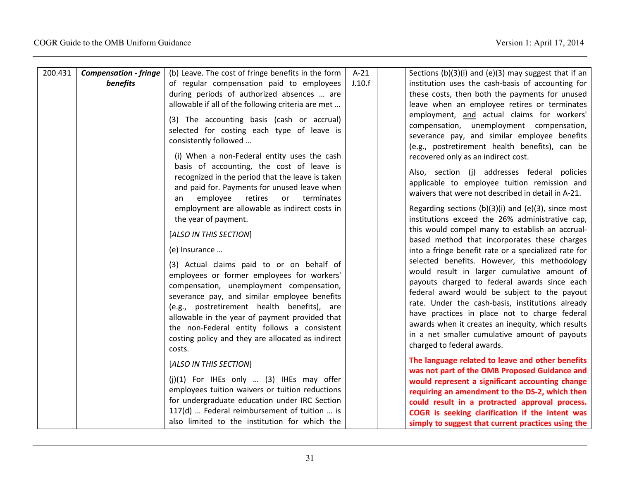| 200.431 | <b>Compensation - fringe</b> | (b) Leave. The cost of fringe benefits in the form | $A-21$ | Sections $(b)(3)(i)$ and $(e)(3)$ may suggest that if an                                          |
|---------|------------------------------|----------------------------------------------------|--------|---------------------------------------------------------------------------------------------------|
|         | benefits                     | of regular compensation paid to employees          | J.10.f | institution uses the cash-basis of accounting for                                                 |
|         |                              | during periods of authorized absences  are         |        | these costs, then both the payments for unused                                                    |
|         |                              | allowable if all of the following criteria are met |        | leave when an employee retires or terminates                                                      |
|         |                              |                                                    |        | employment, and actual claims for workers'                                                        |
|         |                              | (3) The accounting basis (cash or accrual)         |        |                                                                                                   |
|         |                              | selected for costing each type of leave is         |        | compensation, unemployment compensation,<br>severance pay, and similar employee benefits          |
|         |                              | consistently followed                              |        |                                                                                                   |
|         |                              | (i) When a non-Federal entity uses the cash        |        | (e.g., postretirement health benefits), can be                                                    |
|         |                              | basis of accounting, the cost of leave is          |        | recovered only as an indirect cost.                                                               |
|         |                              | recognized in the period that the leave is taken   |        | Also, section (j) addresses federal policies                                                      |
|         |                              | and paid for. Payments for unused leave when       |        | applicable to employee tuition remission and                                                      |
|         |                              | employee<br>retires<br>or<br>terminates<br>an      |        | waivers that were not described in detail in A-21.                                                |
|         |                              | employment are allowable as indirect costs in      |        | Regarding sections $(b)(3)(i)$ and $(e)(3)$ , since most                                          |
|         |                              | the year of payment.                               |        | institutions exceed the 26% administrative cap,                                                   |
|         |                              |                                                    |        | this would compel many to establish an accrual-                                                   |
|         |                              | [ALSO IN THIS SECTION]                             |        | based method that incorporates these charges                                                      |
|         |                              | (e) Insurance                                      |        | into a fringe benefit rate or a specialized rate for                                              |
|         |                              |                                                    |        | selected benefits. However, this methodology                                                      |
|         |                              | (3) Actual claims paid to or on behalf of          |        | would result in larger cumulative amount of                                                       |
|         |                              | employees or former employees for workers'         |        | payouts charged to federal awards since each                                                      |
|         |                              | compensation, unemployment compensation,           |        | federal award would be subject to the payout                                                      |
|         |                              | severance pay, and similar employee benefits       |        | rate. Under the cash-basis, institutions already                                                  |
|         |                              | (e.g., postretirement health benefits), are        |        | have practices in place not to charge federal                                                     |
|         |                              | allowable in the year of payment provided that     |        | awards when it creates an inequity, which results                                                 |
|         |                              | the non-Federal entity follows a consistent        |        | in a net smaller cumulative amount of payouts                                                     |
|         |                              | costing policy and they are allocated as indirect  |        | charged to federal awards.                                                                        |
|         |                              | costs.                                             |        |                                                                                                   |
|         |                              | [ALSO IN THIS SECTION]                             |        | The language related to leave and other benefits                                                  |
|         |                              | $(j)(1)$ For IHEs only  (3) IHEs may offer         |        | was not part of the OMB Proposed Guidance and                                                     |
|         |                              | employees tuition waivers or tuition reductions    |        | would represent a significant accounting change<br>requiring an amendment to the DS-2, which then |
|         |                              | for undergraduate education under IRC Section      |        | could result in a protracted approval process.                                                    |
|         |                              | 117(d)  Federal reimbursement of tuition  is       |        | COGR is seeking clarification if the intent was                                                   |
|         |                              | also limited to the institution for which the      |        |                                                                                                   |
|         |                              |                                                    |        | simply to suggest that current practices using the                                                |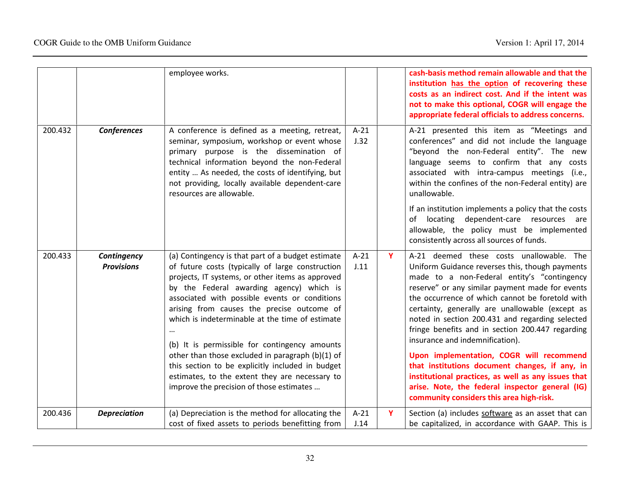|         |                                  | employee works.                                                                                                                                                                                                                                                                                                                                                                                                                                                                                                                                                                                                |                |   | cash-basis method remain allowable and that the<br>institution has the option of recovering these<br>costs as an indirect cost. And if the intent was<br>not to make this optional, COGR will engage the<br>appropriate federal officials to address concerns.                                                                                                                                                                                                                                                                                                                                                                                                                                    |
|---------|----------------------------------|----------------------------------------------------------------------------------------------------------------------------------------------------------------------------------------------------------------------------------------------------------------------------------------------------------------------------------------------------------------------------------------------------------------------------------------------------------------------------------------------------------------------------------------------------------------------------------------------------------------|----------------|---|---------------------------------------------------------------------------------------------------------------------------------------------------------------------------------------------------------------------------------------------------------------------------------------------------------------------------------------------------------------------------------------------------------------------------------------------------------------------------------------------------------------------------------------------------------------------------------------------------------------------------------------------------------------------------------------------------|
| 200.432 | <b>Conferences</b>               | A conference is defined as a meeting, retreat,<br>seminar, symposium, workshop or event whose<br>primary purpose is the dissemination of<br>technical information beyond the non-Federal<br>entity  As needed, the costs of identifying, but<br>not providing, locally available dependent-care<br>resources are allowable.                                                                                                                                                                                                                                                                                    | $A-21$<br>J.32 |   | A-21 presented this item as "Meetings and<br>conferences" and did not include the language<br>"beyond the non-Federal entity". The new<br>language seems to confirm that any costs<br>associated with intra-campus meetings (i.e.,<br>within the confines of the non-Federal entity) are<br>unallowable.                                                                                                                                                                                                                                                                                                                                                                                          |
|         |                                  |                                                                                                                                                                                                                                                                                                                                                                                                                                                                                                                                                                                                                |                |   | If an institution implements a policy that the costs<br>of locating dependent-care resources are<br>allowable, the policy must be implemented<br>consistently across all sources of funds.                                                                                                                                                                                                                                                                                                                                                                                                                                                                                                        |
| 200.433 | Contingency<br><b>Provisions</b> | (a) Contingency is that part of a budget estimate<br>of future costs (typically of large construction<br>projects, IT systems, or other items as approved<br>by the Federal awarding agency) which is<br>associated with possible events or conditions<br>arising from causes the precise outcome of<br>which is indeterminable at the time of estimate<br>(b) It is permissible for contingency amounts<br>other than those excluded in paragraph (b)(1) of<br>this section to be explicitly included in budget<br>estimates, to the extent they are necessary to<br>improve the precision of those estimates | $A-21$<br>J.11 | Y | A-21 deemed these costs unallowable. The<br>Uniform Guidance reverses this, though payments<br>made to a non-Federal entity's "contingency<br>reserve" or any similar payment made for events<br>the occurrence of which cannot be foretold with<br>certainty, generally are unallowable (except as<br>noted in section 200.431 and regarding selected<br>fringe benefits and in section 200.447 regarding<br>insurance and indemnification).<br>Upon implementation, COGR will recommend<br>that institutions document changes, if any, in<br>institutional practices, as well as any issues that<br>arise. Note, the federal inspector general (IG)<br>community considers this area high-risk. |
| 200.436 | <b>Depreciation</b>              | (a) Depreciation is the method for allocating the<br>cost of fixed assets to periods benefitting from                                                                                                                                                                                                                                                                                                                                                                                                                                                                                                          | $A-21$<br>J.14 | Y | Section (a) includes software as an asset that can<br>be capitalized, in accordance with GAAP. This is                                                                                                                                                                                                                                                                                                                                                                                                                                                                                                                                                                                            |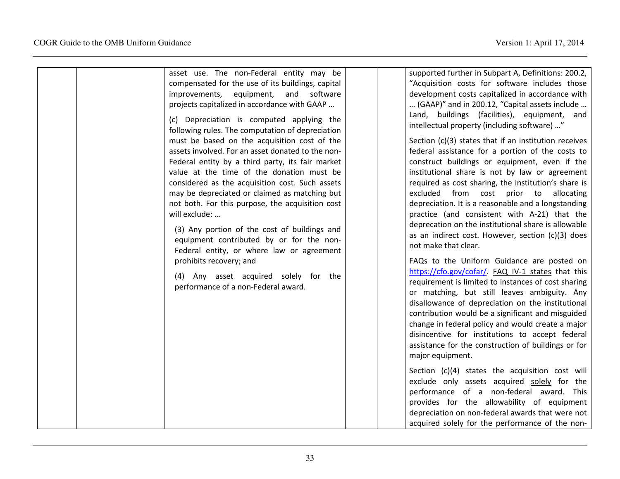| asset use. The non-Federal entity may be<br>compensated for the use of its buildings, capital<br>software<br>improvements,<br>equipment,<br>and<br>projects capitalized in accordance with GAAP<br>(c) Depreciation is computed applying the<br>following rules. The computation of depreciation<br>must be based on the acquisition cost of the<br>assets involved. For an asset donated to the non-<br>Federal entity by a third party, its fair market<br>value at the time of the donation must be<br>considered as the acquisition cost. Such assets | supported further in Subpart A, Definitions: 200.2,<br>"Acquisition costs for software includes those<br>development costs capitalized in accordance with<br>(GAAP)" and in 200.12, "Capital assets include<br>Land, buildings (facilities), equipment, and<br>intellectual property (including software) "<br>Section (c)(3) states that if an institution receives<br>federal assistance for a portion of the costs to<br>construct buildings or equipment, even if the<br>institutional share is not by law or agreement<br>required as cost sharing, the institution's share is                                                                                                                                                                                                         |
|-----------------------------------------------------------------------------------------------------------------------------------------------------------------------------------------------------------------------------------------------------------------------------------------------------------------------------------------------------------------------------------------------------------------------------------------------------------------------------------------------------------------------------------------------------------|---------------------------------------------------------------------------------------------------------------------------------------------------------------------------------------------------------------------------------------------------------------------------------------------------------------------------------------------------------------------------------------------------------------------------------------------------------------------------------------------------------------------------------------------------------------------------------------------------------------------------------------------------------------------------------------------------------------------------------------------------------------------------------------------|
| may be depreciated or claimed as matching but<br>not both. For this purpose, the acquisition cost<br>will exclude:<br>(3) Any portion of the cost of buildings and<br>equipment contributed by or for the non-<br>Federal entity, or where law or agreement<br>prohibits recovery; and<br>(4) Any asset acquired solely for the<br>performance of a non-Federal award.                                                                                                                                                                                    | excluded from cost prior to<br>allocating<br>depreciation. It is a reasonable and a longstanding<br>practice (and consistent with A-21) that the<br>deprecation on the institutional share is allowable<br>as an indirect cost. However, section (c)(3) does<br>not make that clear.<br>FAQs to the Uniform Guidance are posted on<br>https://cfo.gov/cofar/. FAQ IV-1 states that this<br>requirement is limited to instances of cost sharing<br>or matching, but still leaves ambiguity. Any<br>disallowance of depreciation on the institutional<br>contribution would be a significant and misguided<br>change in federal policy and would create a major<br>disincentive for institutions to accept federal<br>assistance for the construction of buildings or for<br>major equipment. |
|                                                                                                                                                                                                                                                                                                                                                                                                                                                                                                                                                           | Section (c)(4) states the acquisition cost will<br>exclude only assets acquired solely for the<br>performance of a non-federal award. This<br>provides for the allowability of equipment<br>depreciation on non-federal awards that were not<br>acquired solely for the performance of the non-                                                                                                                                                                                                                                                                                                                                                                                                                                                                                             |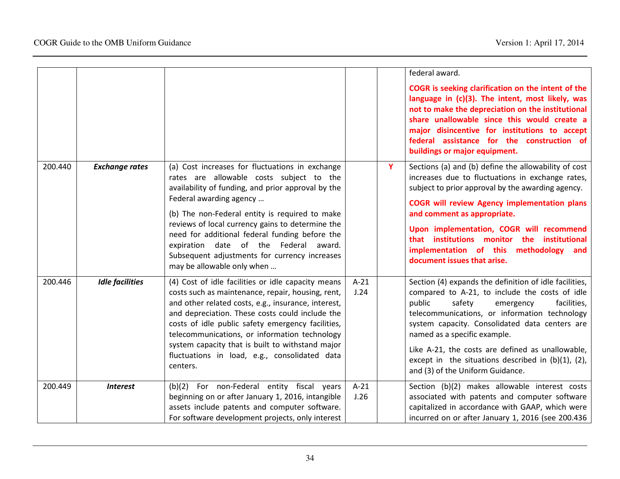|         |                        |                                                                                                                                                                                                                                                                                                                                                                             |                |   | federal award.                                                                                                                                                                                                                                                                                                                             |
|---------|------------------------|-----------------------------------------------------------------------------------------------------------------------------------------------------------------------------------------------------------------------------------------------------------------------------------------------------------------------------------------------------------------------------|----------------|---|--------------------------------------------------------------------------------------------------------------------------------------------------------------------------------------------------------------------------------------------------------------------------------------------------------------------------------------------|
|         |                        |                                                                                                                                                                                                                                                                                                                                                                             |                |   | COGR is seeking clarification on the intent of the<br>language in (c)(3). The intent, most likely, was<br>not to make the depreciation on the institutional<br>share unallowable since this would create a<br>major disincentive for institutions to accept<br>federal assistance for the construction of<br>buildings or major equipment. |
| 200.440 | <b>Exchange rates</b>  | (a) Cost increases for fluctuations in exchange<br>rates are allowable costs subject to the<br>availability of funding, and prior approval by the<br>Federal awarding agency                                                                                                                                                                                                |                | Y | Sections (a) and (b) define the allowability of cost<br>increases due to fluctuations in exchange rates,<br>subject to prior approval by the awarding agency.                                                                                                                                                                              |
|         |                        | (b) The non-Federal entity is required to make                                                                                                                                                                                                                                                                                                                              |                |   | <b>COGR will review Agency implementation plans</b><br>and comment as appropriate.                                                                                                                                                                                                                                                         |
|         |                        | reviews of local currency gains to determine the<br>need for additional federal funding before the<br>expiration date of the Federal award.<br>Subsequent adjustments for currency increases<br>may be allowable only when                                                                                                                                                  |                |   | Upon implementation, COGR will recommend<br>that institutions monitor the institutional<br>implementation of this methodology<br>and<br>document issues that arise.                                                                                                                                                                        |
| 200.446 | <b>Idle facilities</b> | (4) Cost of idle facilities or idle capacity means<br>costs such as maintenance, repair, housing, rent,<br>and other related costs, e.g., insurance, interest,<br>and depreciation. These costs could include the<br>costs of idle public safety emergency facilities,<br>telecommunications, or information technology<br>system capacity that is built to withstand major | $A-21$<br>J.24 |   | Section (4) expands the definition of idle facilities,<br>compared to A-21, to include the costs of idle<br>public<br>safety<br>facilities,<br>emergency<br>telecommunications, or information technology<br>system capacity. Consolidated data centers are<br>named as a specific example.                                                |
|         |                        | fluctuations in load, e.g., consolidated data<br>centers.                                                                                                                                                                                                                                                                                                                   |                |   | Like A-21, the costs are defined as unallowable,<br>except in the situations described in $(b)(1)$ , $(2)$ ,<br>and (3) of the Uniform Guidance.                                                                                                                                                                                           |
| 200.449 | <b>Interest</b>        | (b)(2) For non-Federal entity fiscal years<br>beginning on or after January 1, 2016, intangible<br>assets include patents and computer software.<br>For software development projects, only interest                                                                                                                                                                        | $A-21$<br>J.26 |   | Section (b)(2) makes allowable interest costs<br>associated with patents and computer software<br>capitalized in accordance with GAAP, which were<br>incurred on or after January 1, 2016 (see 200.436                                                                                                                                     |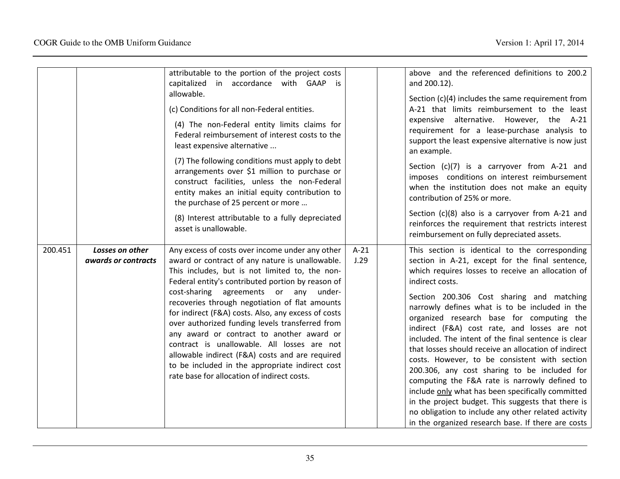|         |                                        | attributable to the portion of the project costs<br>capitalized in accordance with GAAP is<br>allowable.<br>(c) Conditions for all non-Federal entities.<br>(4) The non-Federal entity limits claims for<br>Federal reimbursement of interest costs to the<br>least expensive alternative<br>(7) The following conditions must apply to debt<br>arrangements over \$1 million to purchase or<br>construct facilities, unless the non-Federal<br>entity makes an initial equity contribution to<br>the purchase of 25 percent or more<br>(8) Interest attributable to a fully depreciated<br>asset is unallowable.                                               |                | above and the referenced definitions to 200.2<br>and 200.12).<br>Section $(c)(4)$ includes the same requirement from<br>A-21 that limits reimbursement to the least<br>expensive alternative. However, the A-21<br>requirement for a lease-purchase analysis to<br>support the least expensive alternative is now just<br>an example.<br>Section (c)(7) is a carryover from A-21 and<br>imposes conditions on interest reimbursement<br>when the institution does not make an equity<br>contribution of 25% or more.<br>Section (c)(8) also is a carryover from A-21 and<br>reinforces the requirement that restricts interest<br>reimbursement on fully depreciated assets.                                                                                                                                                                                   |
|---------|----------------------------------------|-----------------------------------------------------------------------------------------------------------------------------------------------------------------------------------------------------------------------------------------------------------------------------------------------------------------------------------------------------------------------------------------------------------------------------------------------------------------------------------------------------------------------------------------------------------------------------------------------------------------------------------------------------------------|----------------|----------------------------------------------------------------------------------------------------------------------------------------------------------------------------------------------------------------------------------------------------------------------------------------------------------------------------------------------------------------------------------------------------------------------------------------------------------------------------------------------------------------------------------------------------------------------------------------------------------------------------------------------------------------------------------------------------------------------------------------------------------------------------------------------------------------------------------------------------------------|
| 200.451 | Losses on other<br>awards or contracts | Any excess of costs over income under any other<br>award or contract of any nature is unallowable.<br>This includes, but is not limited to, the non-<br>Federal entity's contributed portion by reason of<br>cost-sharing agreements or any under-<br>recoveries through negotiation of flat amounts<br>for indirect (F&A) costs. Also, any excess of costs<br>over authorized funding levels transferred from<br>any award or contract to another award or<br>contract is unallowable. All losses are not<br>allowable indirect (F&A) costs and are required<br>to be included in the appropriate indirect cost<br>rate base for allocation of indirect costs. | $A-21$<br>J.29 | This section is identical to the corresponding<br>section in A-21, except for the final sentence,<br>which requires losses to receive an allocation of<br>indirect costs.<br>Section 200.306 Cost sharing and matching<br>narrowly defines what is to be included in the<br>organized research base for computing the<br>indirect (F&A) cost rate, and losses are not<br>included. The intent of the final sentence is clear<br>that losses should receive an allocation of indirect<br>costs. However, to be consistent with section<br>200.306, any cost sharing to be included for<br>computing the F&A rate is narrowly defined to<br>include only what has been specifically committed<br>in the project budget. This suggests that there is<br>no obligation to include any other related activity<br>in the organized research base. If there are costs |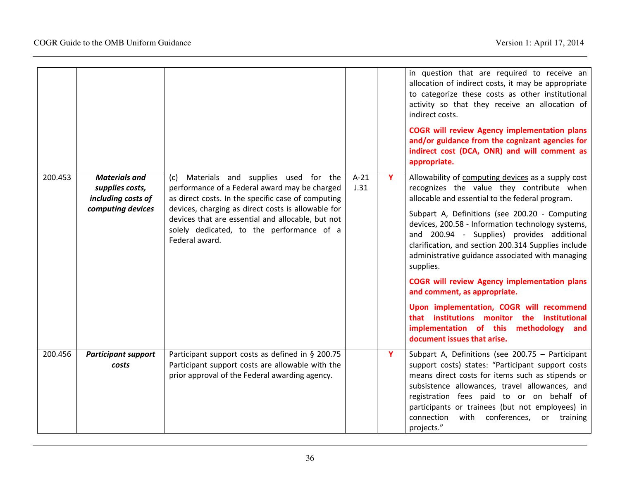|         |                                                                                    |                                                                                                                                                                                                                                                                                                                          |                |   | in question that are required to receive an<br>allocation of indirect costs, it may be appropriate<br>to categorize these costs as other institutional<br>activity so that they receive an allocation of<br>indirect costs.<br><b>COGR will review Agency implementation plans</b><br>and/or guidance from the cognizant agencies for<br>indirect cost (DCA, ONR) and will comment as<br>appropriate.                                                                                                                                                                                                                                                                                      |
|---------|------------------------------------------------------------------------------------|--------------------------------------------------------------------------------------------------------------------------------------------------------------------------------------------------------------------------------------------------------------------------------------------------------------------------|----------------|---|--------------------------------------------------------------------------------------------------------------------------------------------------------------------------------------------------------------------------------------------------------------------------------------------------------------------------------------------------------------------------------------------------------------------------------------------------------------------------------------------------------------------------------------------------------------------------------------------------------------------------------------------------------------------------------------------|
| 200.453 | <b>Materials and</b><br>supplies costs,<br>including costs of<br>computing devices | (c) Materials and supplies used for the<br>performance of a Federal award may be charged<br>as direct costs. In the specific case of computing<br>devices, charging as direct costs is allowable for<br>devices that are essential and allocable, but not<br>solely dedicated, to the performance of a<br>Federal award. | $A-21$<br>J.31 | Y | Allowability of computing devices as a supply cost<br>recognizes the value they contribute when<br>allocable and essential to the federal program.<br>Subpart A, Definitions (see 200.20 - Computing<br>devices, 200.58 - Information technology systems,<br>and 200.94 - Supplies) provides additional<br>clarification, and section 200.314 Supplies include<br>administrative guidance associated with managing<br>supplies.<br><b>COGR will review Agency implementation plans</b><br>and comment, as appropriate.<br>Upon implementation, COGR will recommend<br>that institutions monitor the institutional<br>implementation of this methodology and<br>document issues that arise. |
| 200.456 | <b>Participant support</b><br>costs                                                | Participant support costs as defined in § 200.75<br>Participant support costs are allowable with the<br>prior approval of the Federal awarding agency.                                                                                                                                                                   |                | Y | Subpart A, Definitions (see 200.75 - Participant<br>support costs) states: "Participant support costs<br>means direct costs for items such as stipends or<br>subsistence allowances, travel allowances, and<br>registration fees paid to or on behalf of<br>participants or trainees (but not employees) in<br>with conferences,<br>connection<br>training<br>or<br>projects."                                                                                                                                                                                                                                                                                                             |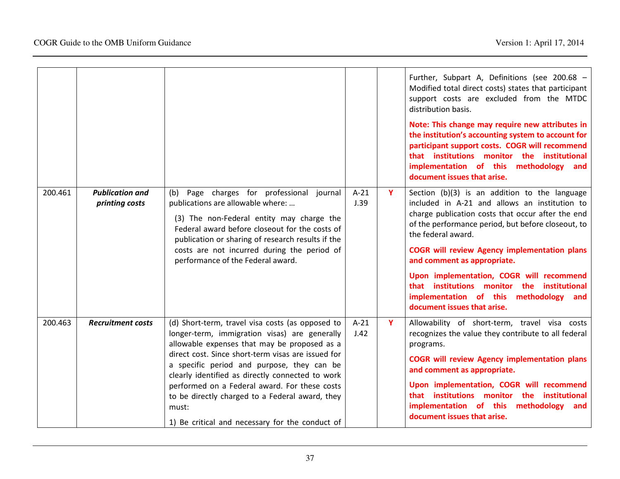|         |                                          |                                                                                                                                                                                                                                                                                                                                                                                                                                                                           |                |    | Further, Subpart A, Definitions (see 200.68 -<br>Modified total direct costs) states that participant<br>support costs are excluded from the MTDC<br>distribution basis.<br>Note: This change may require new attributes in<br>the institution's accounting system to account for<br>participant support costs. COGR will recommend<br>that institutions monitor the institutional<br>implementation of this methodology and<br>document issues that arise.                               |
|---------|------------------------------------------|---------------------------------------------------------------------------------------------------------------------------------------------------------------------------------------------------------------------------------------------------------------------------------------------------------------------------------------------------------------------------------------------------------------------------------------------------------------------------|----------------|----|-------------------------------------------------------------------------------------------------------------------------------------------------------------------------------------------------------------------------------------------------------------------------------------------------------------------------------------------------------------------------------------------------------------------------------------------------------------------------------------------|
| 200.461 | <b>Publication and</b><br>printing costs | Page charges for professional journal<br>(b)<br>publications are allowable where:<br>(3) The non-Federal entity may charge the<br>Federal award before closeout for the costs of<br>publication or sharing of research results if the<br>costs are not incurred during the period of<br>performance of the Federal award.                                                                                                                                                 | $A-21$<br>J.39 | Y. | Section (b)(3) is an addition to the language<br>included in A-21 and allows an institution to<br>charge publication costs that occur after the end<br>of the performance period, but before closeout, to<br>the federal award.<br><b>COGR will review Agency implementation plans</b><br>and comment as appropriate.<br>Upon implementation, COGR will recommend<br>that institutions monitor the institutional<br>implementation of this methodology and<br>document issues that arise. |
| 200.463 | <b>Recruitment costs</b>                 | (d) Short-term, travel visa costs (as opposed to<br>longer-term, immigration visas) are generally<br>allowable expenses that may be proposed as a<br>direct cost. Since short-term visas are issued for<br>a specific period and purpose, they can be<br>clearly identified as directly connected to work<br>performed on a Federal award. For these costs<br>to be directly charged to a Federal award, they<br>must:<br>1) Be critical and necessary for the conduct of | $A-21$<br>J.42 | Y  | Allowability of short-term, travel visa costs<br>recognizes the value they contribute to all federal<br>programs.<br><b>COGR will review Agency implementation plans</b><br>and comment as appropriate.<br>Upon implementation, COGR will recommend<br>that institutions monitor the institutional<br>implementation of this methodology<br>and<br>document issues that arise.                                                                                                            |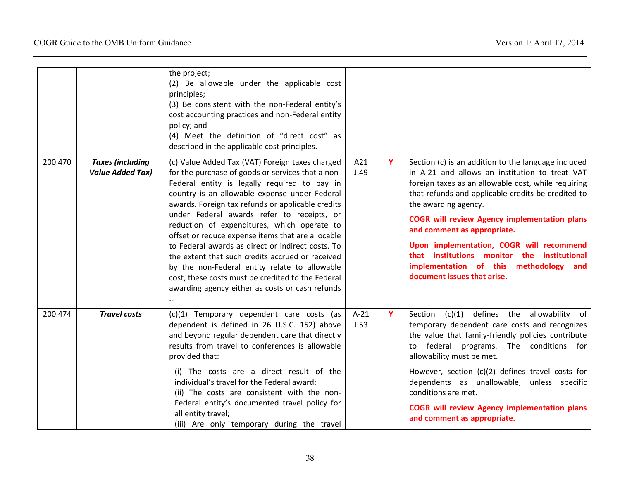|         |                         | the project;                                                                                          |        |   |                                                                                                           |
|---------|-------------------------|-------------------------------------------------------------------------------------------------------|--------|---|-----------------------------------------------------------------------------------------------------------|
|         |                         | (2) Be allowable under the applicable cost                                                            |        |   |                                                                                                           |
|         |                         | principles;<br>(3) Be consistent with the non-Federal entity's                                        |        |   |                                                                                                           |
|         |                         | cost accounting practices and non-Federal entity                                                      |        |   |                                                                                                           |
|         |                         | policy; and                                                                                           |        |   |                                                                                                           |
|         |                         | (4) Meet the definition of "direct cost" as                                                           |        |   |                                                                                                           |
|         |                         | described in the applicable cost principles.                                                          |        |   |                                                                                                           |
| 200.470 | <b>Taxes (including</b> | (c) Value Added Tax (VAT) Foreign taxes charged                                                       | A21    | Y | Section (c) is an addition to the language included                                                       |
|         | <b>Value Added Tax)</b> | for the purchase of goods or services that a non-                                                     | J.49   |   | in A-21 and allows an institution to treat VAT                                                            |
|         |                         | Federal entity is legally required to pay in<br>country is an allowable expense under Federal         |        |   | foreign taxes as an allowable cost, while requiring<br>that refunds and applicable credits be credited to |
|         |                         | awards. Foreign tax refunds or applicable credits                                                     |        |   | the awarding agency.                                                                                      |
|         |                         | under Federal awards refer to receipts, or                                                            |        |   |                                                                                                           |
|         |                         | reduction of expenditures, which operate to                                                           |        |   | <b>COGR will review Agency implementation plans</b><br>and comment as appropriate.                        |
|         |                         | offset or reduce expense items that are allocable                                                     |        |   |                                                                                                           |
|         |                         | to Federal awards as direct or indirect costs. To<br>the extent that such credits accrued or received |        |   | Upon implementation, COGR will recommend<br>that institutions monitor the institutional                   |
|         |                         | by the non-Federal entity relate to allowable                                                         |        |   | implementation of this methodology<br>and                                                                 |
|         |                         | cost, these costs must be credited to the Federal                                                     |        |   | document issues that arise.                                                                               |
|         |                         | awarding agency either as costs or cash refunds                                                       |        |   |                                                                                                           |
|         |                         | $\ddotsc$                                                                                             |        |   |                                                                                                           |
| 200.474 | <b>Travel costs</b>     | (c)(1) Temporary dependent care costs (as                                                             | $A-21$ | Y | Section (c)(1) defines the allowability of                                                                |
|         |                         | dependent is defined in 26 U.S.C. 152) above                                                          | J.53   |   | temporary dependent care costs and recognizes                                                             |
|         |                         | and beyond regular dependent care that directly<br>results from travel to conferences is allowable    |        |   | the value that family-friendly policies contribute<br>to federal programs. The conditions for             |
|         |                         | provided that:                                                                                        |        |   | allowability must be met.                                                                                 |
|         |                         | (i) The costs are a direct result of the                                                              |        |   | However, section (c)(2) defines travel costs for                                                          |
|         |                         | individual's travel for the Federal award;                                                            |        |   | dependents as unallowable, unless specific                                                                |
|         |                         | (ii) The costs are consistent with the non-                                                           |        |   | conditions are met.                                                                                       |
|         |                         | Federal entity's documented travel policy for                                                         |        |   | <b>COGR will review Agency implementation plans</b>                                                       |
|         |                         | all entity travel;                                                                                    |        |   | and comment as appropriate.                                                                               |
|         |                         | (iii) Are only temporary during the travel                                                            |        |   |                                                                                                           |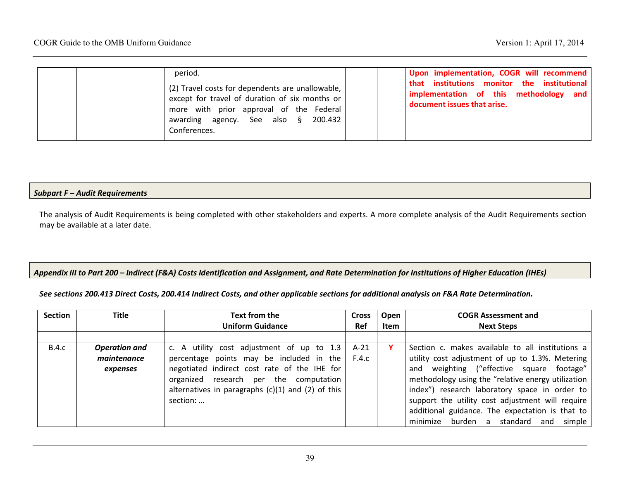| period.<br>(2) Travel costs for dependents are unallowable,<br>except for travel of duration of six months or<br>more with prior approval of the Federal<br>awarding agency. See also § 200.432<br>Conferences. | Upon implementation, COGR will recommend<br>that institutions monitor the institutional<br>implementation of this methodology and<br>document issues that arise. |
|-----------------------------------------------------------------------------------------------------------------------------------------------------------------------------------------------------------------|------------------------------------------------------------------------------------------------------------------------------------------------------------------|
|-----------------------------------------------------------------------------------------------------------------------------------------------------------------------------------------------------------------|------------------------------------------------------------------------------------------------------------------------------------------------------------------|

#### Subpart F – Audit Requirements

The analysis of Audit Requirements is being completed with other stakeholders and experts. A more complete analysis of the Audit Requirements section may be available at a later date.

#### Appendix III to Part 200 – Indirect (F&A) Costs Identification and Assignment, and Rate Determination for Institutions of Higher Education (IHEs)

See sections 200.413 Direct Costs, 200.414 Indirect Costs, and other applicable sections for additional analysis on F&A Rate Determination.

| <b>Section</b> | <b>Title</b>         | Text from the                                         | <b>Cross</b> | Open | <b>COGR Assessment and</b>                         |
|----------------|----------------------|-------------------------------------------------------|--------------|------|----------------------------------------------------|
|                |                      | <b>Uniform Guidance</b>                               | <b>Ref</b>   | Item | <b>Next Steps</b>                                  |
|                |                      |                                                       |              |      |                                                    |
| <b>B.4.c</b>   | <b>Operation and</b> | c. A utility cost adjustment of up to 1.3             | $A-21$       |      | Section c. makes available to all institutions a   |
|                | maintenance          | percentage points may be included in the              | F.4.c        |      | utility cost adjustment of up to 1.3%. Metering    |
|                | expenses             | negotiated indirect cost rate of the IHE for          |              |      | and weighting ("effective square footage"          |
|                |                      | organized research per the computation                |              |      | methodology using the "relative energy utilization |
|                |                      | alternatives in paragraphs $(c)(1)$ and $(2)$ of this |              |      | index") research laboratory space in order to      |
|                |                      | section:                                              |              |      | support the utility cost adjustment will require   |
|                |                      |                                                       |              |      | additional guidance. The expectation is that to    |
|                |                      |                                                       |              |      | minimize<br>burden a standard<br>and simple        |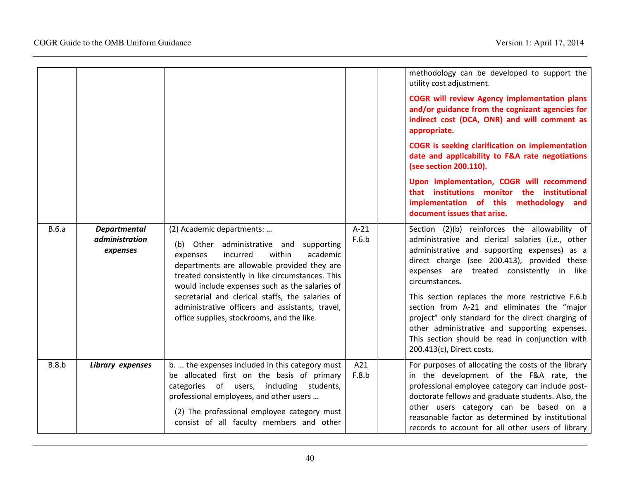|       |                                                          |                                                                                                                                                                                                                                                                                                                                                                                                                                 |                 | methodology can be developed to support the<br>utility cost adjustment.<br><b>COGR will review Agency implementation plans</b><br>and/or guidance from the cognizant agencies for<br>indirect cost (DCA, ONR) and will comment as<br>appropriate.<br><b>COGR</b> is seeking clarification on implementation<br>date and applicability to F&A rate negotiations<br>(see section 200.110).<br>Upon implementation, COGR will recommend<br>that institutions monitor the institutional<br>implementation of this methodology<br>and<br>document issues that arise. |
|-------|----------------------------------------------------------|---------------------------------------------------------------------------------------------------------------------------------------------------------------------------------------------------------------------------------------------------------------------------------------------------------------------------------------------------------------------------------------------------------------------------------|-----------------|-----------------------------------------------------------------------------------------------------------------------------------------------------------------------------------------------------------------------------------------------------------------------------------------------------------------------------------------------------------------------------------------------------------------------------------------------------------------------------------------------------------------------------------------------------------------|
| B.6.a | <b>Departmental</b><br><i>administration</i><br>expenses | (2) Academic departments:<br>(b) Other administrative and<br>supporting<br>academic<br>incurred<br>within<br>expenses<br>departments are allowable provided they are<br>treated consistently in like circumstances. This<br>would include expenses such as the salaries of<br>secretarial and clerical staffs, the salaries of<br>administrative officers and assistants, travel,<br>office supplies, stockrooms, and the like. | $A-21$<br>F.6.b | Section (2)(b) reinforces the allowability of<br>administrative and clerical salaries (i.e., other<br>administrative and supporting expenses) as a<br>direct charge (see 200.413), provided these<br>expenses are treated consistently in<br>like<br>circumstances.<br>This section replaces the more restrictive F.6.b<br>section from A-21 and eliminates the "major<br>project" only standard for the direct charging of<br>other administrative and supporting expenses.<br>This section should be read in conjunction with<br>200.413(c), Direct costs.    |
| B.8.b | Library expenses                                         | b.  the expenses included in this category must<br>be allocated first on the basis of primary<br>categories of users, including students,<br>professional employees, and other users<br>(2) The professional employee category must<br>consist of all faculty members and other                                                                                                                                                 | A21<br>F.8.b    | For purposes of allocating the costs of the library<br>in the development of the F&A rate, the<br>professional employee category can include post-<br>doctorate fellows and graduate students. Also, the<br>other users category can be based on a<br>reasonable factor as determined by institutional<br>records to account for all other users of library                                                                                                                                                                                                     |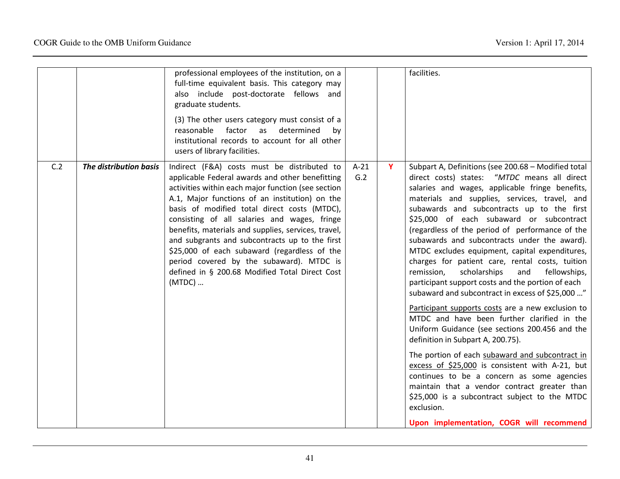|     |                        | professional employees of the institution, on a<br>full-time equivalent basis. This category may<br>also include post-doctorate fellows and<br>graduate students.<br>(3) The other users category must consist of a<br>reasonable<br>factor<br>determined<br>as<br>by<br>institutional records to account for all other<br>users of library facilities.                                                                                                                                                                                                                 |               |   | facilities.                                                                                                                                                                                                                                                                                                                                                                                                                                                                                                                                                                                                                                                                                                                                                                                                                                                                                                                                                                                                                                                                                                                                                                       |
|-----|------------------------|-------------------------------------------------------------------------------------------------------------------------------------------------------------------------------------------------------------------------------------------------------------------------------------------------------------------------------------------------------------------------------------------------------------------------------------------------------------------------------------------------------------------------------------------------------------------------|---------------|---|-----------------------------------------------------------------------------------------------------------------------------------------------------------------------------------------------------------------------------------------------------------------------------------------------------------------------------------------------------------------------------------------------------------------------------------------------------------------------------------------------------------------------------------------------------------------------------------------------------------------------------------------------------------------------------------------------------------------------------------------------------------------------------------------------------------------------------------------------------------------------------------------------------------------------------------------------------------------------------------------------------------------------------------------------------------------------------------------------------------------------------------------------------------------------------------|
| C.2 | The distribution basis | Indirect (F&A) costs must be distributed to<br>applicable Federal awards and other benefitting<br>activities within each major function (see section<br>A.1, Major functions of an institution) on the<br>basis of modified total direct costs (MTDC),<br>consisting of all salaries and wages, fringe<br>benefits, materials and supplies, services, travel,<br>and subgrants and subcontracts up to the first<br>\$25,000 of each subaward (regardless of the<br>period covered by the subaward). MTDC is<br>defined in § 200.68 Modified Total Direct Cost<br>(MTDC) | $A-21$<br>G.2 | Y | Subpart A, Definitions (see 200.68 - Modified total<br>direct costs) states: "MTDC means all direct<br>salaries and wages, applicable fringe benefits,<br>materials and supplies, services, travel, and<br>subawards and subcontracts up to the first<br>\$25,000 of each subaward or subcontract<br>(regardless of the period of performance of the<br>subawards and subcontracts under the award).<br>MTDC excludes equipment, capital expenditures,<br>charges for patient care, rental costs, tuition<br>remission,<br>scholarships<br>and<br>fellowships,<br>participant support costs and the portion of each<br>subaward and subcontract in excess of \$25,000 "<br>Participant supports costs are a new exclusion to<br>MTDC and have been further clarified in the<br>Uniform Guidance (see sections 200.456 and the<br>definition in Subpart A, 200.75).<br>The portion of each subaward and subcontract in<br>excess of \$25,000 is consistent with A-21, but<br>continues to be a concern as some agencies<br>maintain that a vendor contract greater than<br>\$25,000 is a subcontract subject to the MTDC<br>exclusion.<br>Upon implementation, COGR will recommend |